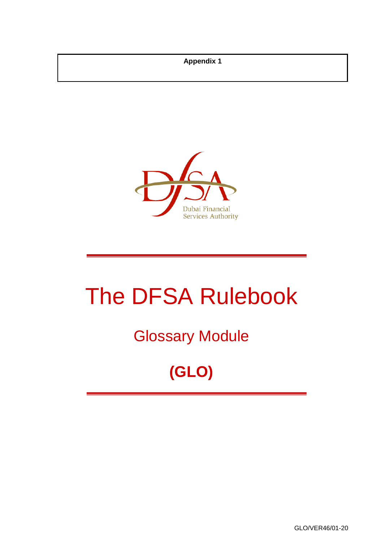**Appendix 1**



# The DFSA Rulebook

## Glossary Module

## **(GLO)**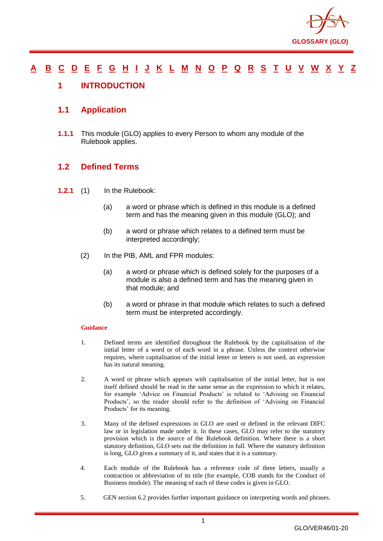

#### [A](#page-2-0) [B](#page-7-0) [C](#page-9-0) [D](#page-18-0) [E](#page-22-0) [F](#page-24-0) [G](#page-27-0) [H](#page-31-0) [I](#page-32-0) [J](#page-37-0) [K](#page-37-1) [L](#page-38-0) [M](#page-41-0) [N](#page-44-0) [O](#page-46-0) [P](#page-48-0) [Q](#page-54-0) [R](#page-55-0) [S](#page-60-0) [T](#page-64-0) [U](#page-66-0) [V](#page-67-0) [W](#page-68-0) [X](#page-69-0) [Y](#page-70-0) [Z](#page-71-0)

#### <span id="page-1-0"></span>**1 INTRODUCTION**

#### **1.1 Application**

**1.1.1** This module (GLO) applies to every Person to whom any module of the Rulebook applies.

#### **1.2 Defined Terms**

- **1.2.1** (1) In the Rulebook:
	- (a) a word or phrase which is defined in this module is a defined term and has the meaning given in this module (GLO); and
	- (b) a word or phrase which relates to a defined term must be interpreted accordingly;
	- (2) In the PIB, AML and FPR modules:
		- (a) a word or phrase which is defined solely for the purposes of a module is also a defined term and has the meaning given in that module; and
		- (b) a word or phrase in that module which relates to such a defined term must be interpreted accordingly.

#### **Guidance**

- 1. Defined terms are identified throughout the Rulebook by the capitalisation of the initial letter of a word or of each word in a phrase. Unless the context otherwise requires, where capitalisation of the initial letter or letters is not used, an expression has its natural meaning.
- 2. A word or phrase which appears with capitalisation of the initial letter, but is not itself defined should be read in the same sense as the expression to which it relates, for example 'Advice on Financial Products' is related to 'Advising on Financial Products', so the reader should refer to the definition of 'Advising on Financial Products' for its meaning.
- 3. Many of the defined expressions in GLO are used or defined in the relevant DIFC law or in legislation made under it. In these cases, GLO may refer to the statutory provision which is the source of the Rulebook definition. Where there is a short statutory definition, GLO sets out the definition in full. Where the statutory definition is long, GLO gives a summary of it, and states that it is a summary.
- 4. Each module of the Rulebook has a reference code of three letters, usually a contraction or abbreviation of its title (for example, COB stands for the Conduct of Business module). The meaning of each of these codes is given in GLO.
- 5. GEN section 6.2 provides further important guidance on interpreting words and phrases.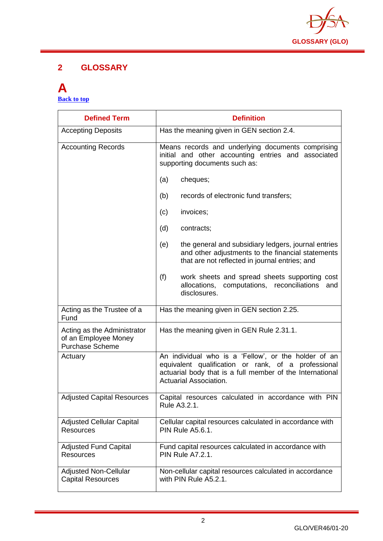

#### **2 GLOSSARY**

#### <span id="page-2-0"></span>**A [Back to top](#page-1-0)**

| <b>Defined Term</b>                                                           | <b>Definition</b>                                                                                                                                                                                  |
|-------------------------------------------------------------------------------|----------------------------------------------------------------------------------------------------------------------------------------------------------------------------------------------------|
| <b>Accepting Deposits</b>                                                     | Has the meaning given in GEN section 2.4.                                                                                                                                                          |
| <b>Accounting Records</b>                                                     | Means records and underlying documents comprising<br>initial and other accounting entries and associated<br>supporting documents such as:                                                          |
|                                                                               | cheques;<br>(a)                                                                                                                                                                                    |
|                                                                               | (b)<br>records of electronic fund transfers;                                                                                                                                                       |
|                                                                               | invoices;<br>(c)                                                                                                                                                                                   |
|                                                                               | (d)<br>contracts;                                                                                                                                                                                  |
|                                                                               | the general and subsidiary ledgers, journal entries<br>(e)<br>and other adjustments to the financial statements<br>that are not reflected in journal entries; and                                  |
|                                                                               | (f)<br>work sheets and spread sheets supporting cost<br>allocations, computations, reconciliations<br>and<br>disclosures.                                                                          |
| Acting as the Trustee of a<br>Fund                                            | Has the meaning given in GEN section 2.25.                                                                                                                                                         |
| Acting as the Administrator<br>of an Employee Money<br><b>Purchase Scheme</b> | Has the meaning given in GEN Rule 2.31.1.                                                                                                                                                          |
| Actuary                                                                       | An individual who is a 'Fellow', or the holder of an<br>equivalent qualification or rank, of a professional<br>actuarial body that is a full member of the International<br>Actuarial Association. |
| <b>Adjusted Capital Resources</b>                                             | Capital resources calculated in accordance with PIN<br>Rule A3.2.1.                                                                                                                                |
| <b>Adjusted Cellular Capital</b><br><b>Resources</b>                          | Cellular capital resources calculated in accordance with<br><b>PIN Rule A5.6.1.</b>                                                                                                                |
| <b>Adjusted Fund Capital</b><br><b>Resources</b>                              | Fund capital resources calculated in accordance with<br><b>PIN Rule A7.2.1.</b>                                                                                                                    |
| <b>Adjusted Non-Cellular</b><br><b>Capital Resources</b>                      | Non-cellular capital resources calculated in accordance<br>with PIN Rule A5.2.1.                                                                                                                   |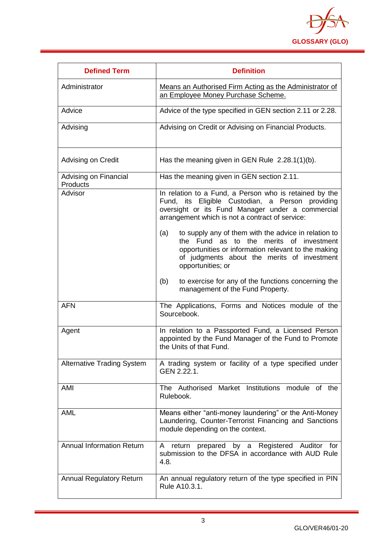

| <b>Defined Term</b>                      | <b>Definition</b>                                                                                                                                                                                                                          |
|------------------------------------------|--------------------------------------------------------------------------------------------------------------------------------------------------------------------------------------------------------------------------------------------|
| Administrator                            | Means an Authorised Firm Acting as the Administrator of<br>an Employee Money Purchase Scheme.                                                                                                                                              |
| Advice                                   | Advice of the type specified in GEN section 2.11 or 2.28.                                                                                                                                                                                  |
| Advising                                 | Advising on Credit or Advising on Financial Products.                                                                                                                                                                                      |
| Advising on Credit                       | Has the meaning given in GEN Rule $2.28.1(1)(b)$ .                                                                                                                                                                                         |
| Advising on Financial<br><b>Products</b> | Has the meaning given in GEN section 2.11.                                                                                                                                                                                                 |
| Advisor                                  | In relation to a Fund, a Person who is retained by the<br>Fund, its Eligible Custodian, a Person providing<br>oversight or its Fund Manager under a commercial<br>arrangement which is not a contract of service:                          |
|                                          | to supply any of them with the advice in relation to<br>(a)<br>to<br>the<br>merits of investment<br>the Fund as<br>opportunities or information relevant to the making<br>of judgments about the merits of investment<br>opportunities; or |
|                                          | to exercise for any of the functions concerning the<br>(b)<br>management of the Fund Property.                                                                                                                                             |
| <b>AFN</b>                               | The Applications, Forms and Notices module of the<br>Sourcebook.                                                                                                                                                                           |
| Agent                                    | In relation to a Passported Fund, a Licensed Person<br>appointed by the Fund Manager of the Fund to Promote<br>the Units of that Fund.                                                                                                     |
| <b>Alternative Trading System</b>        | A trading system or facility of a type specified under<br>GEN 2.22.1.                                                                                                                                                                      |
| AMI                                      | The Authorised Market Institutions module of the<br>Rulebook.                                                                                                                                                                              |
| <b>AML</b>                               | Means either "anti-money laundering" or the Anti-Money<br>Laundering, Counter-Terrorist Financing and Sanctions<br>module depending on the context.                                                                                        |
| <b>Annual Information Return</b>         | prepared by a Registered Auditor for<br>A return<br>submission to the DFSA in accordance with AUD Rule<br>4.8.                                                                                                                             |
| <b>Annual Regulatory Return</b>          | An annual regulatory return of the type specified in PIN<br>Rule A10.3.1.                                                                                                                                                                  |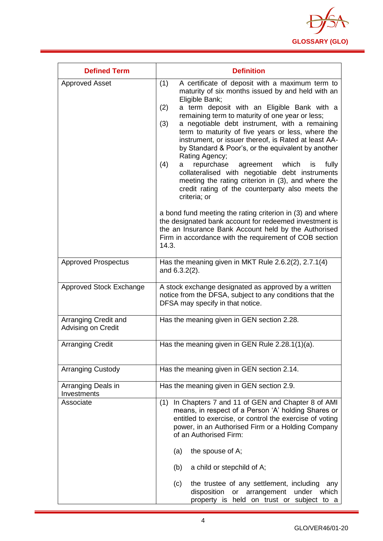

| <b>Defined Term</b>                        | <b>Definition</b>                                                                                                                                                                                                                                                                                                                                                                                                                                                                                                                                                                                                                                                                                                                |
|--------------------------------------------|----------------------------------------------------------------------------------------------------------------------------------------------------------------------------------------------------------------------------------------------------------------------------------------------------------------------------------------------------------------------------------------------------------------------------------------------------------------------------------------------------------------------------------------------------------------------------------------------------------------------------------------------------------------------------------------------------------------------------------|
| <b>Approved Asset</b>                      | (1)<br>A certificate of deposit with a maximum term to<br>maturity of six months issued by and held with an<br>Eligible Bank;<br>a term deposit with an Eligible Bank with a<br>(2)<br>remaining term to maturity of one year or less;<br>a negotiable debt instrument, with a remaining<br>(3)<br>term to maturity of five years or less, where the<br>instrument, or issuer thereof, is Rated at least AA-<br>by Standard & Poor's, or the equivalent by another<br>Rating Agency;<br>which<br>(4)<br>repurchase<br>agreement<br>fully<br>is<br>a<br>collateralised with negotiable debt instruments<br>meeting the rating criterion in (3), and where the<br>credit rating of the counterparty also meets the<br>criteria; or |
|                                            | a bond fund meeting the rating criterion in (3) and where<br>the designated bank account for redeemed investment is<br>the an Insurance Bank Account held by the Authorised<br>Firm in accordance with the requirement of COB section<br>14.3.                                                                                                                                                                                                                                                                                                                                                                                                                                                                                   |
| <b>Approved Prospectus</b>                 | Has the meaning given in MKT Rule 2.6.2(2), 2.7.1(4)<br>and $6.3.2(2)$ .                                                                                                                                                                                                                                                                                                                                                                                                                                                                                                                                                                                                                                                         |
| <b>Approved Stock Exchange</b>             | A stock exchange designated as approved by a written<br>notice from the DFSA, subject to any conditions that the<br>DFSA may specify in that notice.                                                                                                                                                                                                                                                                                                                                                                                                                                                                                                                                                                             |
| Arranging Credit and<br>Advising on Credit | Has the meaning given in GEN section 2.28.                                                                                                                                                                                                                                                                                                                                                                                                                                                                                                                                                                                                                                                                                       |
| <b>Arranging Credit</b>                    | Has the meaning given in GEN Rule 2.28.1(1)(a).                                                                                                                                                                                                                                                                                                                                                                                                                                                                                                                                                                                                                                                                                  |
| <b>Arranging Custody</b>                   | Has the meaning given in GEN section 2.14.                                                                                                                                                                                                                                                                                                                                                                                                                                                                                                                                                                                                                                                                                       |
| Arranging Deals in<br>Investments          | Has the meaning given in GEN section 2.9.                                                                                                                                                                                                                                                                                                                                                                                                                                                                                                                                                                                                                                                                                        |
| Associate                                  | In Chapters 7 and 11 of GEN and Chapter 8 of AMI<br>(1)<br>means, in respect of a Person 'A' holding Shares or<br>entitled to exercise, or control the exercise of voting<br>power, in an Authorised Firm or a Holding Company<br>of an Authorised Firm:<br>the spouse of A;<br>(a)<br>(b)<br>a child or stepchild of A;                                                                                                                                                                                                                                                                                                                                                                                                         |
|                                            | the trustee of any settlement, including<br>(c)<br>any<br>disposition<br>arrangement<br>or<br>under<br>which<br>property is held on trust or subject to a                                                                                                                                                                                                                                                                                                                                                                                                                                                                                                                                                                        |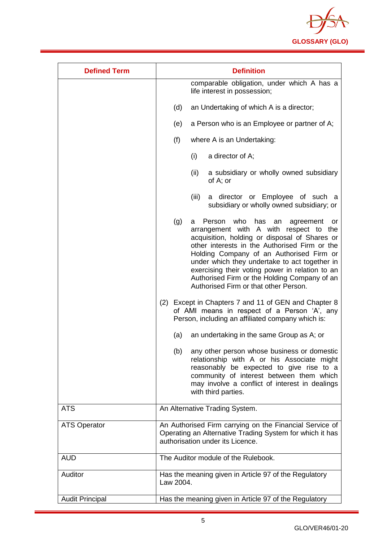

| <b>Defined Term</b>    | <b>Definition</b>                                                                                                                                                                                                                                                                                                                                                                                                                           |
|------------------------|---------------------------------------------------------------------------------------------------------------------------------------------------------------------------------------------------------------------------------------------------------------------------------------------------------------------------------------------------------------------------------------------------------------------------------------------|
|                        | comparable obligation, under which A has a<br>life interest in possession;                                                                                                                                                                                                                                                                                                                                                                  |
|                        | (d)<br>an Undertaking of which A is a director;                                                                                                                                                                                                                                                                                                                                                                                             |
|                        | a Person who is an Employee or partner of A;<br>(e)                                                                                                                                                                                                                                                                                                                                                                                         |
|                        | (f)<br>where A is an Undertaking:                                                                                                                                                                                                                                                                                                                                                                                                           |
|                        | a director of A;<br>(i)                                                                                                                                                                                                                                                                                                                                                                                                                     |
|                        | a subsidiary or wholly owned subsidiary<br>(ii)<br>of A; or                                                                                                                                                                                                                                                                                                                                                                                 |
|                        | a director or Employee of such a<br>(iii)<br>subsidiary or wholly owned subsidiary; or                                                                                                                                                                                                                                                                                                                                                      |
|                        | Person who<br>(g)<br>has<br>an<br>agreement<br>a<br>or<br>arrangement with A with respect to the<br>acquisition, holding or disposal of Shares or<br>other interests in the Authorised Firm or the<br>Holding Company of an Authorised Firm or<br>under which they undertake to act together in<br>exercising their voting power in relation to an<br>Authorised Firm or the Holding Company of an<br>Authorised Firm or that other Person. |
|                        | (2) Except in Chapters 7 and 11 of GEN and Chapter 8<br>of AMI means in respect of a Person 'A', any<br>Person, including an affiliated company which is:                                                                                                                                                                                                                                                                                   |
|                        | an undertaking in the same Group as A; or<br>(a)                                                                                                                                                                                                                                                                                                                                                                                            |
|                        | any other person whose business or domestic<br>(b)<br>relationship with A or his Associate might<br>reasonably be expected to give rise to a<br>community of interest between them which<br>may involve a conflict of interest in dealings<br>with third parties.                                                                                                                                                                           |
| <b>ATS</b>             | An Alternative Trading System.                                                                                                                                                                                                                                                                                                                                                                                                              |
| <b>ATS Operator</b>    | An Authorised Firm carrying on the Financial Service of<br>Operating an Alternative Trading System for which it has<br>authorisation under its Licence.                                                                                                                                                                                                                                                                                     |
| <b>AUD</b>             | The Auditor module of the Rulebook.                                                                                                                                                                                                                                                                                                                                                                                                         |
| Auditor                | Has the meaning given in Article 97 of the Regulatory<br>Law 2004.                                                                                                                                                                                                                                                                                                                                                                          |
| <b>Audit Principal</b> | Has the meaning given in Article 97 of the Regulatory                                                                                                                                                                                                                                                                                                                                                                                       |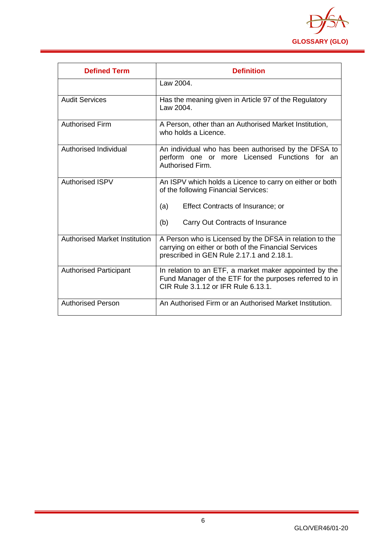

| <b>Defined Term</b>                  | <b>Definition</b>                                                                                                                                            |
|--------------------------------------|--------------------------------------------------------------------------------------------------------------------------------------------------------------|
|                                      | Law 2004.                                                                                                                                                    |
| <b>Audit Services</b>                | Has the meaning given in Article 97 of the Regulatory<br>Law 2004.                                                                                           |
| <b>Authorised Firm</b>               | A Person, other than an Authorised Market Institution,<br>who holds a Licence.                                                                               |
| Authorised Individual                | An individual who has been authorised by the DFSA to<br>perform one or more Licensed Functions for an<br>Authorised Firm.                                    |
| <b>Authorised ISPV</b>               | An ISPV which holds a Licence to carry on either or both<br>of the following Financial Services:                                                             |
|                                      | (a)<br>Effect Contracts of Insurance; or                                                                                                                     |
|                                      | (b)<br>Carry Out Contracts of Insurance                                                                                                                      |
| <b>Authorised Market Institution</b> | A Person who is Licensed by the DFSA in relation to the<br>carrying on either or both of the Financial Services<br>prescribed in GEN Rule 2.17.1 and 2.18.1. |
| <b>Authorised Participant</b>        | In relation to an ETF, a market maker appointed by the<br>Fund Manager of the ETF for the purposes referred to in<br>CIR Rule 3.1.12 or IFR Rule 6.13.1.     |
| <b>Authorised Person</b>             | An Authorised Firm or an Authorised Market Institution.                                                                                                      |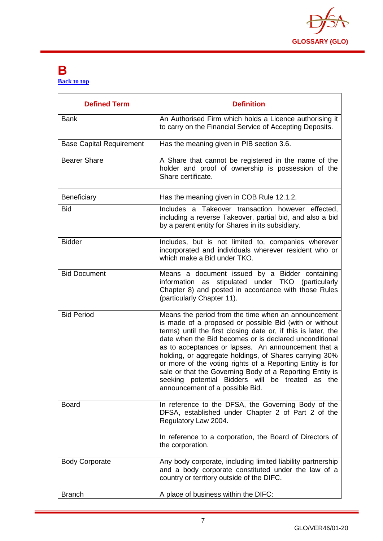

#### <span id="page-7-0"></span>**B [Back to top](#page-1-0)**

| <b>Defined Term</b>             | <b>Definition</b>                                                                                                                                                                                                                                                                                                                                                                                                                                                                                                                                                         |
|---------------------------------|---------------------------------------------------------------------------------------------------------------------------------------------------------------------------------------------------------------------------------------------------------------------------------------------------------------------------------------------------------------------------------------------------------------------------------------------------------------------------------------------------------------------------------------------------------------------------|
| <b>Bank</b>                     | An Authorised Firm which holds a Licence authorising it<br>to carry on the Financial Service of Accepting Deposits.                                                                                                                                                                                                                                                                                                                                                                                                                                                       |
| <b>Base Capital Requirement</b> | Has the meaning given in PIB section 3.6.                                                                                                                                                                                                                                                                                                                                                                                                                                                                                                                                 |
| <b>Bearer Share</b>             | A Share that cannot be registered in the name of the<br>holder and proof of ownership is possession of the<br>Share certificate.                                                                                                                                                                                                                                                                                                                                                                                                                                          |
| Beneficiary                     | Has the meaning given in COB Rule 12.1.2.                                                                                                                                                                                                                                                                                                                                                                                                                                                                                                                                 |
| <b>Bid</b>                      | Includes a Takeover transaction however effected,<br>including a reverse Takeover, partial bid, and also a bid<br>by a parent entity for Shares in its subsidiary.                                                                                                                                                                                                                                                                                                                                                                                                        |
| <b>Bidder</b>                   | Includes, but is not limited to, companies wherever<br>incorporated and individuals wherever resident who or<br>which make a Bid under TKO.                                                                                                                                                                                                                                                                                                                                                                                                                               |
| <b>Bid Document</b>             | Means a document issued by a Bidder containing<br>stipulated under TKO (particularly<br>information as<br>Chapter 8) and posted in accordance with those Rules<br>(particularly Chapter 11).                                                                                                                                                                                                                                                                                                                                                                              |
| <b>Bid Period</b>               | Means the period from the time when an announcement<br>is made of a proposed or possible Bid (with or without<br>terms) until the first closing date or, if this is later, the<br>date when the Bid becomes or is declared unconditional<br>as to acceptances or lapses. An announcement that a<br>holding, or aggregate holdings, of Shares carrying 30%<br>or more of the voting rights of a Reporting Entity is for<br>sale or that the Governing Body of a Reporting Entity is<br>seeking potential Bidders will be treated as the<br>announcement of a possible Bid. |
| <b>Board</b>                    | In reference to the DFSA, the Governing Body of the<br>DFSA, established under Chapter 2 of Part 2 of the<br>Regulatory Law 2004.<br>In reference to a corporation, the Board of Directors of<br>the corporation.                                                                                                                                                                                                                                                                                                                                                         |
| <b>Body Corporate</b>           | Any body corporate, including limited liability partnership                                                                                                                                                                                                                                                                                                                                                                                                                                                                                                               |
|                                 | and a body corporate constituted under the law of a<br>country or territory outside of the DIFC.                                                                                                                                                                                                                                                                                                                                                                                                                                                                          |
| <b>Branch</b>                   | A place of business within the DIFC:                                                                                                                                                                                                                                                                                                                                                                                                                                                                                                                                      |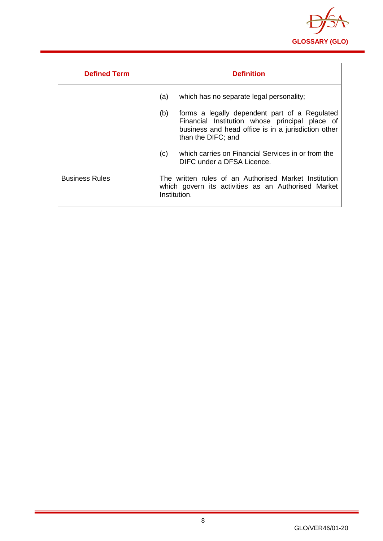

| <b>Defined Term</b>   | <b>Definition</b>                                                                                                                                                                   |
|-----------------------|-------------------------------------------------------------------------------------------------------------------------------------------------------------------------------------|
|                       | (a)<br>which has no separate legal personality;                                                                                                                                     |
|                       | (b)<br>forms a legally dependent part of a Regulated<br>Financial Institution whose principal place of<br>business and head office is in a jurisdiction other<br>than the DIFC; and |
|                       | which carries on Financial Services in or from the<br>(c)<br>DIFC under a DFSA Licence.                                                                                             |
| <b>Business Rules</b> | The written rules of an Authorised Market Institution<br>which govern its activities as an Authorised Market<br>Institution.                                                        |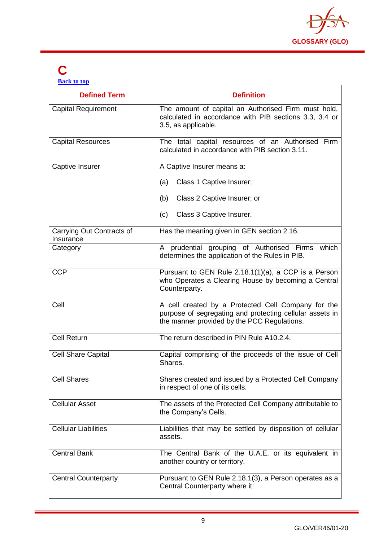

## <span id="page-9-0"></span>**C**

**[Back to top](#page-1-0)**

| <b>Defined Term</b>                    | <b>Definition</b>                                                                                                                                             |
|----------------------------------------|---------------------------------------------------------------------------------------------------------------------------------------------------------------|
| <b>Capital Requirement</b>             | The amount of capital an Authorised Firm must hold,<br>calculated in accordance with PIB sections 3.3, 3.4 or<br>3.5, as applicable.                          |
| <b>Capital Resources</b>               | The total capital resources of an Authorised Firm<br>calculated in accordance with PIB section 3.11.                                                          |
| Captive Insurer                        | A Captive Insurer means a:                                                                                                                                    |
|                                        | Class 1 Captive Insurer;<br>(a)                                                                                                                               |
|                                        | Class 2 Captive Insurer; or<br>(b)                                                                                                                            |
|                                        | Class 3 Captive Insurer.<br>(c)                                                                                                                               |
| Carrying Out Contracts of<br>Insurance | Has the meaning given in GEN section 2.16.                                                                                                                    |
| Category                               | A prudential grouping of Authorised Firms which<br>determines the application of the Rules in PIB.                                                            |
| <b>CCP</b>                             | Pursuant to GEN Rule 2.18.1(1)(a), a CCP is a Person<br>who Operates a Clearing House by becoming a Central<br>Counterparty.                                  |
| Cell                                   | A cell created by a Protected Cell Company for the<br>purpose of segregating and protecting cellular assets in<br>the manner provided by the PCC Regulations. |
| <b>Cell Return</b>                     | The return described in PIN Rule A10.2.4.                                                                                                                     |
| <b>Cell Share Capital</b>              | Capital comprising of the proceeds of the issue of Cell<br>Shares.                                                                                            |
| <b>Cell Shares</b>                     | Shares created and issued by a Protected Cell Company<br>in respect of one of its cells.                                                                      |
| <b>Cellular Asset</b>                  | The assets of the Protected Cell Company attributable to<br>the Company's Cells.                                                                              |
| <b>Cellular Liabilities</b>            | Liabilities that may be settled by disposition of cellular<br>assets.                                                                                         |
| <b>Central Bank</b>                    | The Central Bank of the U.A.E. or its equivalent in<br>another country or territory.                                                                          |
| <b>Central Counterparty</b>            | Pursuant to GEN Rule 2.18.1(3), a Person operates as a<br>Central Counterparty where it:                                                                      |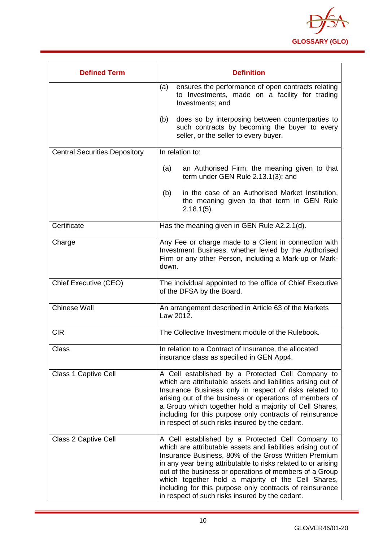

| <b>Defined Term</b>                  | <b>Definition</b>                                                                                                                                                                                                                                                                                                                                                                                                                                                          |
|--------------------------------------|----------------------------------------------------------------------------------------------------------------------------------------------------------------------------------------------------------------------------------------------------------------------------------------------------------------------------------------------------------------------------------------------------------------------------------------------------------------------------|
|                                      | ensures the performance of open contracts relating<br>(a)<br>to Investments, made on a facility for trading<br>Investments; and                                                                                                                                                                                                                                                                                                                                            |
|                                      | does so by interposing between counterparties to<br>(b)<br>such contracts by becoming the buyer to every<br>seller, or the seller to every buyer.                                                                                                                                                                                                                                                                                                                          |
| <b>Central Securities Depository</b> | In relation to:                                                                                                                                                                                                                                                                                                                                                                                                                                                            |
|                                      | an Authorised Firm, the meaning given to that<br>(a)<br>term under GEN Rule 2.13.1(3); and                                                                                                                                                                                                                                                                                                                                                                                 |
|                                      | in the case of an Authorised Market Institution,<br>(b)<br>the meaning given to that term in GEN Rule<br>$2.18.1(5)$ .                                                                                                                                                                                                                                                                                                                                                     |
| Certificate                          | Has the meaning given in GEN Rule A2.2.1(d).                                                                                                                                                                                                                                                                                                                                                                                                                               |
| Charge                               | Any Fee or charge made to a Client in connection with<br>Investment Business, whether levied by the Authorised<br>Firm or any other Person, including a Mark-up or Mark-<br>down.                                                                                                                                                                                                                                                                                          |
| <b>Chief Executive (CEO)</b>         | The individual appointed to the office of Chief Executive<br>of the DFSA by the Board.                                                                                                                                                                                                                                                                                                                                                                                     |
| <b>Chinese Wall</b>                  | An arrangement described in Article 63 of the Markets<br>Law 2012.                                                                                                                                                                                                                                                                                                                                                                                                         |
| <b>CIR</b>                           | The Collective Investment module of the Rulebook.                                                                                                                                                                                                                                                                                                                                                                                                                          |
| Class                                | In relation to a Contract of Insurance, the allocated<br>insurance class as specified in GEN App4.                                                                                                                                                                                                                                                                                                                                                                         |
| <b>Class 1 Captive Cell</b>          | A Cell established by a Protected Cell Company to<br>which are attributable assets and liabilities arising out of<br>Insurance Business only in respect of risks related to<br>arising out of the business or operations of members of<br>a Group which together hold a majority of Cell Shares,<br>including for this purpose only contracts of reinsurance<br>in respect of such risks insured by the cedant.                                                            |
| Class 2 Captive Cell                 | A Cell established by a Protected Cell Company to<br>which are attributable assets and liabilities arising out of<br>Insurance Business, 80% of the Gross Written Premium<br>in any year being attributable to risks related to or arising<br>out of the business or operations of members of a Group<br>which together hold a majority of the Cell Shares,<br>including for this purpose only contracts of reinsurance<br>in respect of such risks insured by the cedant. |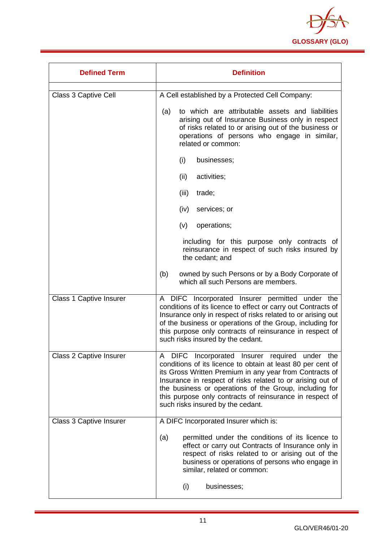

| <b>Defined Term</b>            | <b>Definition</b>                                                                                                                                                                                                                                                                                                                                                                                 |
|--------------------------------|---------------------------------------------------------------------------------------------------------------------------------------------------------------------------------------------------------------------------------------------------------------------------------------------------------------------------------------------------------------------------------------------------|
| Class 3 Captive Cell           | A Cell established by a Protected Cell Company:                                                                                                                                                                                                                                                                                                                                                   |
|                                | to which are attributable assets and liabilities<br>(a)<br>arising out of Insurance Business only in respect<br>of risks related to or arising out of the business or<br>operations of persons who engage in similar,<br>related or common:                                                                                                                                                       |
|                                | (i)<br>businesses;                                                                                                                                                                                                                                                                                                                                                                                |
|                                | (ii)<br>activities;                                                                                                                                                                                                                                                                                                                                                                               |
|                                | (iii)<br>trade;                                                                                                                                                                                                                                                                                                                                                                                   |
|                                | services; or<br>(iv)                                                                                                                                                                                                                                                                                                                                                                              |
|                                | (v)<br>operations;                                                                                                                                                                                                                                                                                                                                                                                |
|                                | including for this purpose only contracts of<br>reinsurance in respect of such risks insured by<br>the cedant; and                                                                                                                                                                                                                                                                                |
|                                | (b)<br>owned by such Persons or by a Body Corporate of<br>which all such Persons are members.                                                                                                                                                                                                                                                                                                     |
| <b>Class 1 Captive Insurer</b> | A DIFC Incorporated Insurer permitted under the<br>conditions of its licence to effect or carry out Contracts of<br>Insurance only in respect of risks related to or arising out<br>of the business or operations of the Group, including for<br>this purpose only contracts of reinsurance in respect of<br>such risks insured by the cedant.                                                    |
| <b>Class 2 Captive Insurer</b> | A DIFC Incorporated Insurer required under the<br>conditions of its licence to obtain at least 80 per cent of<br>its Gross Written Premium in any year from Contracts of<br>Insurance in respect of risks related to or arising out of<br>the business or operations of the Group, including for<br>this purpose only contracts of reinsurance in respect of<br>such risks insured by the cedant. |
| <b>Class 3 Captive Insurer</b> | A DIFC Incorporated Insurer which is:                                                                                                                                                                                                                                                                                                                                                             |
|                                | permitted under the conditions of its licence to<br>(a)<br>effect or carry out Contracts of Insurance only in<br>respect of risks related to or arising out of the<br>business or operations of persons who engage in<br>similar, related or common:                                                                                                                                              |
|                                | (i)<br>businesses;                                                                                                                                                                                                                                                                                                                                                                                |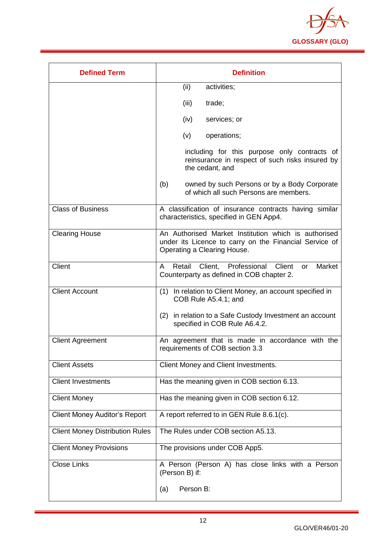

| <b>Defined Term</b>                    | <b>Definition</b>                                                                                                                             |
|----------------------------------------|-----------------------------------------------------------------------------------------------------------------------------------------------|
|                                        | (ii)<br>activities;                                                                                                                           |
|                                        | (iii)<br>trade;                                                                                                                               |
|                                        | (iv)<br>services; or                                                                                                                          |
|                                        | (v)<br>operations;                                                                                                                            |
|                                        | including for this purpose only contracts of<br>reinsurance in respect of such risks insured by<br>the cedant, and                            |
|                                        | (b)<br>owned by such Persons or by a Body Corporate<br>of which all such Persons are members.                                                 |
| <b>Class of Business</b>               | A classification of insurance contracts having similar<br>characteristics, specified in GEN App4.                                             |
| <b>Clearing House</b>                  | An Authorised Market Institution which is authorised<br>under its Licence to carry on the Financial Service of<br>Operating a Clearing House. |
| <b>Client</b>                          | Retail<br>Client, Professional<br>Client<br>Market<br>A<br>or<br>Counterparty as defined in COB chapter 2.                                    |
| <b>Client Account</b>                  | In relation to Client Money, an account specified in<br>(1)<br>COB Rule A5.4.1; and                                                           |
|                                        | (2) in relation to a Safe Custody Investment an account<br>specified in COB Rule A6.4.2.                                                      |
| <b>Client Agreement</b>                | An agreement that is made in accordance with the<br>requirements of COB section 3.3                                                           |
| <b>Client Assets</b>                   | Client Money and Client Investments.                                                                                                          |
| <b>Client Investments</b>              | Has the meaning given in COB section 6.13.                                                                                                    |
| <b>Client Money</b>                    | Has the meaning given in COB section 6.12.                                                                                                    |
| <b>Client Money Auditor's Report</b>   | A report referred to in GEN Rule 8.6.1(c).                                                                                                    |
| <b>Client Money Distribution Rules</b> | The Rules under COB section A5.13.                                                                                                            |
| <b>Client Money Provisions</b>         | The provisions under COB App5.                                                                                                                |
| <b>Close Links</b>                     | A Person (Person A) has close links with a Person<br>(Person B) if:                                                                           |
|                                        | Person B:<br>(a)                                                                                                                              |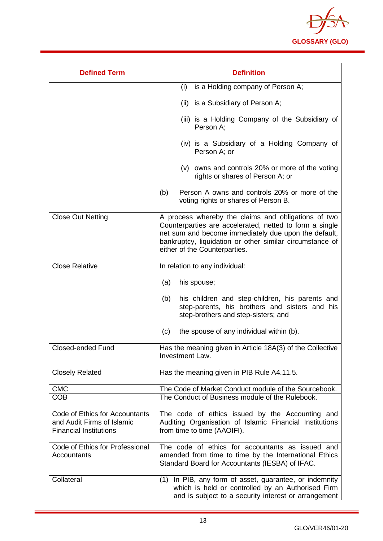

| <b>Defined Term</b>                                                                           | <b>Definition</b>                                                                                                                                                                                                                                                   |
|-----------------------------------------------------------------------------------------------|---------------------------------------------------------------------------------------------------------------------------------------------------------------------------------------------------------------------------------------------------------------------|
|                                                                                               | is a Holding company of Person A;<br>(i)                                                                                                                                                                                                                            |
|                                                                                               | (ii) is a Subsidiary of Person A;                                                                                                                                                                                                                                   |
|                                                                                               | (iii) is a Holding Company of the Subsidiary of<br>Person A;                                                                                                                                                                                                        |
|                                                                                               | (iv) is a Subsidiary of a Holding Company of<br>Person A; or                                                                                                                                                                                                        |
|                                                                                               | (v) owns and controls 20% or more of the voting<br>rights or shares of Person A; or                                                                                                                                                                                 |
|                                                                                               | Person A owns and controls 20% or more of the<br>(b)<br>voting rights or shares of Person B.                                                                                                                                                                        |
| <b>Close Out Netting</b>                                                                      | A process whereby the claims and obligations of two<br>Counterparties are accelerated, netted to form a single<br>net sum and become immediately due upon the default,<br>bankruptcy, liquidation or other similar circumstance of<br>either of the Counterparties. |
| <b>Close Relative</b>                                                                         | In relation to any individual:                                                                                                                                                                                                                                      |
|                                                                                               | his spouse;<br>(a)                                                                                                                                                                                                                                                  |
|                                                                                               | his children and step-children, his parents and<br>(b)<br>step-parents, his brothers and sisters and his<br>step-brothers and step-sisters; and                                                                                                                     |
|                                                                                               | the spouse of any individual within (b).<br>(c)                                                                                                                                                                                                                     |
| <b>Closed-ended Fund</b>                                                                      | Has the meaning given in Article 18A(3) of the Collective<br>Investment Law.                                                                                                                                                                                        |
| <b>Closely Related</b>                                                                        | Has the meaning given in PIB Rule A4.11.5.                                                                                                                                                                                                                          |
| <b>CMC</b>                                                                                    | The Code of Market Conduct module of the Sourcebook.                                                                                                                                                                                                                |
| <b>COB</b>                                                                                    | The Conduct of Business module of the Rulebook.                                                                                                                                                                                                                     |
| Code of Ethics for Accountants<br>and Audit Firms of Islamic<br><b>Financial Institutions</b> | The code of ethics issued by the Accounting and<br>Auditing Organisation of Islamic Financial Institutions<br>from time to time (AAOIFI).                                                                                                                           |
| Code of Ethics for Professional<br>Accountants                                                | The code of ethics for accountants as issued and<br>amended from time to time by the International Ethics<br>Standard Board for Accountants (IESBA) of IFAC.                                                                                                        |
| Collateral                                                                                    | In PIB, any form of asset, guarantee, or indemnity<br>(1)<br>which is held or controlled by an Authorised Firm<br>and is subject to a security interest or arrangement                                                                                              |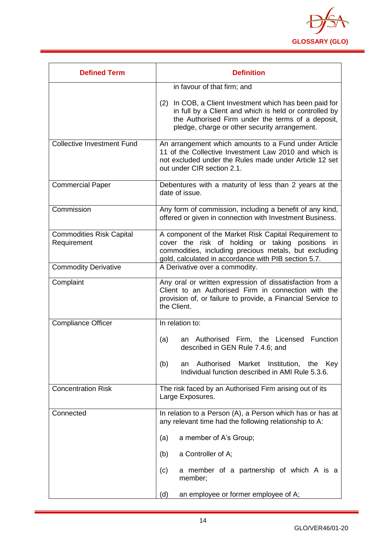

| <b>Defined Term</b>                            | <b>Definition</b>                                                                                                                                                                                                          |
|------------------------------------------------|----------------------------------------------------------------------------------------------------------------------------------------------------------------------------------------------------------------------------|
|                                                | in favour of that firm; and                                                                                                                                                                                                |
|                                                | In COB, a Client Investment which has been paid for<br>(2)<br>in full by a Client and which is held or controlled by<br>the Authorised Firm under the terms of a deposit,<br>pledge, charge or other security arrangement. |
| <b>Collective Investment Fund</b>              | An arrangement which amounts to a Fund under Article<br>11 of the Collective Investment Law 2010 and which is<br>not excluded under the Rules made under Article 12 set<br>out under CIR section 2.1.                      |
| <b>Commercial Paper</b>                        | Debentures with a maturity of less than 2 years at the<br>date of issue.                                                                                                                                                   |
| Commission                                     | Any form of commission, including a benefit of any kind,<br>offered or given in connection with Investment Business.                                                                                                       |
| <b>Commodities Risk Capital</b><br>Requirement | A component of the Market Risk Capital Requirement to<br>cover the risk of holding or taking positions in<br>commodities, including precious metals, but excluding<br>gold, calculated in accordance with PIB section 5.7. |
| <b>Commodity Derivative</b>                    | A Derivative over a commodity.                                                                                                                                                                                             |
| Complaint                                      | Any oral or written expression of dissatisfaction from a<br>Client to an Authorised Firm in connection with the<br>provision of, or failure to provide, a Financial Service to<br>the Client.                              |
| <b>Compliance Officer</b>                      | In relation to:                                                                                                                                                                                                            |
|                                                | Firm, the Licensed<br>Function<br>(a)<br>Authorised<br>an<br>described in GEN Rule 7.4.6; and                                                                                                                              |
|                                                | Authorised Market Institution, the<br>(b)<br>Key<br>an<br>Individual function described in AMI Rule 5.3.6.                                                                                                                 |
| <b>Concentration Risk</b>                      | The risk faced by an Authorised Firm arising out of its<br>Large Exposures.                                                                                                                                                |
| Connected                                      | In relation to a Person (A), a Person which has or has at<br>any relevant time had the following relationship to A:                                                                                                        |
|                                                | a member of A's Group;<br>(a)                                                                                                                                                                                              |
|                                                | a Controller of A;<br>(b)                                                                                                                                                                                                  |
|                                                | a member of a partnership of which A is a<br>(c)<br>member;                                                                                                                                                                |
|                                                | an employee or former employee of A;<br>(d)                                                                                                                                                                                |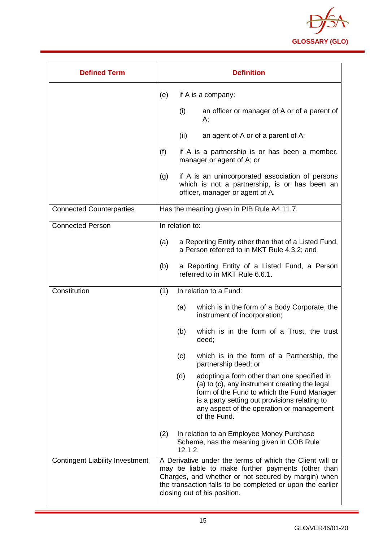

| <b>Defined Term</b>                    |     | <b>Definition</b>                                                                                                                                                                                                                                                  |
|----------------------------------------|-----|--------------------------------------------------------------------------------------------------------------------------------------------------------------------------------------------------------------------------------------------------------------------|
|                                        | (e) | if A is a company:                                                                                                                                                                                                                                                 |
|                                        |     | (i)<br>an officer or manager of A or of a parent of<br>А;                                                                                                                                                                                                          |
|                                        |     | (ii)<br>an agent of A or of a parent of A;                                                                                                                                                                                                                         |
|                                        | (f) | if A is a partnership is or has been a member,<br>manager or agent of A; or                                                                                                                                                                                        |
|                                        | (g) | if A is an unincorporated association of persons<br>which is not a partnership, is or has been an<br>officer, manager or agent of A.                                                                                                                               |
| <b>Connected Counterparties</b>        |     | Has the meaning given in PIB Rule A4.11.7.                                                                                                                                                                                                                         |
| <b>Connected Person</b>                |     | In relation to:                                                                                                                                                                                                                                                    |
|                                        | (a) | a Reporting Entity other than that of a Listed Fund,<br>a Person referred to in MKT Rule 4.3.2; and                                                                                                                                                                |
|                                        | (b) | a Reporting Entity of a Listed Fund, a Person<br>referred to in MKT Rule 6.6.1.                                                                                                                                                                                    |
| Constitution                           | (1) | In relation to a Fund:                                                                                                                                                                                                                                             |
|                                        |     | which is in the form of a Body Corporate, the<br>(a)<br>instrument of incorporation;                                                                                                                                                                               |
|                                        |     | which is in the form of a Trust, the trust<br>(b)<br>deed;                                                                                                                                                                                                         |
|                                        |     | (c)<br>which is in the form of a Partnership, the<br>partnership deed; or                                                                                                                                                                                          |
|                                        |     | adopting a form other than one specified in<br>(d)<br>(a) to (c), any instrument creating the legal<br>form of the Fund to which the Fund Manager<br>is a party setting out provisions relating to<br>any aspect of the operation or management<br>of the Fund.    |
|                                        | (2) | In relation to an Employee Money Purchase<br>Scheme, has the meaning given in COB Rule<br>12.1.2.                                                                                                                                                                  |
| <b>Contingent Liability Investment</b> |     | A Derivative under the terms of which the Client will or<br>may be liable to make further payments (other than<br>Charges, and whether or not secured by margin) when<br>the transaction falls to be completed or upon the earlier<br>closing out of his position. |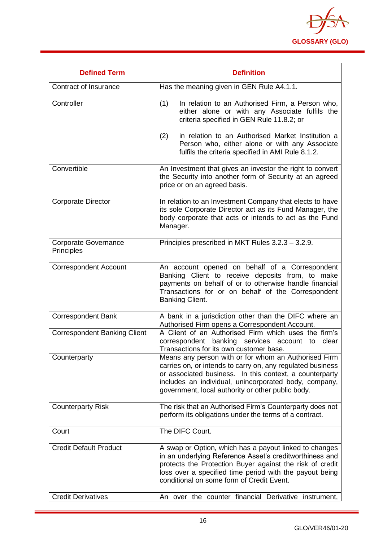

| <b>Defined Term</b>                       | <b>Definition</b>                                                                                                                                                                                                                                                                           |
|-------------------------------------------|---------------------------------------------------------------------------------------------------------------------------------------------------------------------------------------------------------------------------------------------------------------------------------------------|
| Contract of Insurance                     | Has the meaning given in GEN Rule A4.1.1.                                                                                                                                                                                                                                                   |
| Controller                                | In relation to an Authorised Firm, a Person who,<br>(1)<br>either alone or with any Associate fulfils the<br>criteria specified in GEN Rule 11.8.2; or                                                                                                                                      |
|                                           | in relation to an Authorised Market Institution a<br>(2)<br>Person who, either alone or with any Associate<br>fulfils the criteria specified in AMI Rule 8.1.2.                                                                                                                             |
| Convertible                               | An Investment that gives an investor the right to convert<br>the Security into another form of Security at an agreed<br>price or on an agreed basis.                                                                                                                                        |
| <b>Corporate Director</b>                 | In relation to an Investment Company that elects to have<br>its sole Corporate Director act as its Fund Manager, the<br>body corporate that acts or intends to act as the Fund<br>Manager.                                                                                                  |
| <b>Corporate Governance</b><br>Principles | Principles prescribed in MKT Rules 3.2.3 - 3.2.9.                                                                                                                                                                                                                                           |
| <b>Correspondent Account</b>              | An account opened on behalf of a Correspondent<br>Banking Client to receive deposits from, to make<br>payments on behalf of or to otherwise handle financial<br>Transactions for or on behalf of the Correspondent<br>Banking Client.                                                       |
| <b>Correspondent Bank</b>                 | A bank in a jurisdiction other than the DIFC where an<br>Authorised Firm opens a Correspondent Account.                                                                                                                                                                                     |
| <b>Correspondent Banking Client</b>       | A Client of an Authorised Firm which uses the firm's<br>correspondent banking services account to<br>clear<br>Transactions for its own customer base.                                                                                                                                       |
| Counterparty                              | Means any person with or for whom an Authorised Firm<br>carries on, or intends to carry on, any regulated business<br>or associated business. In this context, a counterparty<br>includes an individual, unincorporated body, company,<br>government, local authority or other public body. |
| <b>Counterparty Risk</b>                  | The risk that an Authorised Firm's Counterparty does not<br>perform its obligations under the terms of a contract.                                                                                                                                                                          |
| Court                                     | The DIFC Court.                                                                                                                                                                                                                                                                             |
| <b>Credit Default Product</b>             | A swap or Option, which has a payout linked to changes<br>in an underlying Reference Asset's creditworthiness and<br>protects the Protection Buyer against the risk of credit<br>loss over a specified time period with the payout being<br>conditional on some form of Credit Event.       |
| <b>Credit Derivatives</b>                 | An over the counter financial Derivative instrument,                                                                                                                                                                                                                                        |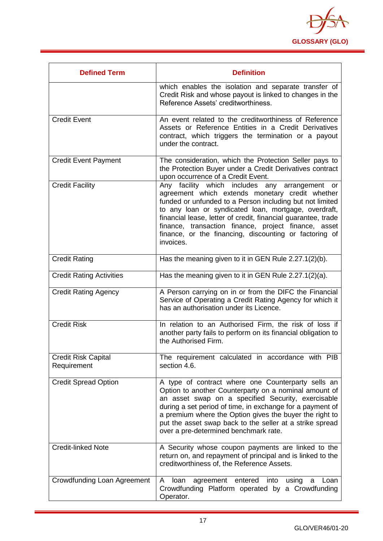

| <b>Defined Term</b>                       | <b>Definition</b>                                                                                                                                                                                                                                                                                                                                                                                                     |
|-------------------------------------------|-----------------------------------------------------------------------------------------------------------------------------------------------------------------------------------------------------------------------------------------------------------------------------------------------------------------------------------------------------------------------------------------------------------------------|
|                                           | which enables the isolation and separate transfer of<br>Credit Risk and whose payout is linked to changes in the<br>Reference Assets' creditworthiness.                                                                                                                                                                                                                                                               |
| <b>Credit Event</b>                       | An event related to the creditworthiness of Reference<br>Assets or Reference Entities in a Credit Derivatives<br>contract, which triggers the termination or a payout<br>under the contract.                                                                                                                                                                                                                          |
| <b>Credit Event Payment</b>               | The consideration, which the Protection Seller pays to<br>the Protection Buyer under a Credit Derivatives contract<br>upon occurrence of a Credit Event.                                                                                                                                                                                                                                                              |
| <b>Credit Facility</b>                    | Any facility which includes any arrangement or<br>agreement which extends monetary credit whether<br>funded or unfunded to a Person including but not limited<br>to any loan or syndicated loan, mortgage, overdraft,<br>financial lease, letter of credit, financial guarantee, trade<br>finance, transaction finance, project finance, asset<br>finance, or the financing, discounting or factoring of<br>invoices. |
| <b>Credit Rating</b>                      | Has the meaning given to it in GEN Rule 2.27.1(2)(b).                                                                                                                                                                                                                                                                                                                                                                 |
| <b>Credit Rating Activities</b>           | Has the meaning given to it in GEN Rule 2.27.1(2)(a).                                                                                                                                                                                                                                                                                                                                                                 |
| <b>Credit Rating Agency</b>               | A Person carrying on in or from the DIFC the Financial<br>Service of Operating a Credit Rating Agency for which it<br>has an authorisation under its Licence.                                                                                                                                                                                                                                                         |
| <b>Credit Risk</b>                        | In relation to an Authorised Firm, the risk of loss if<br>another party fails to perform on its financial obligation to<br>the Authorised Firm.                                                                                                                                                                                                                                                                       |
| <b>Credit Risk Capital</b><br>Requirement | The requirement calculated in accordance with PIB<br>section 4.6.                                                                                                                                                                                                                                                                                                                                                     |
| <b>Credit Spread Option</b>               | A type of contract where one Counterparty sells an<br>Option to another Counterparty on a nominal amount of<br>an asset swap on a specified Security, exercisable<br>during a set period of time, in exchange for a payment of<br>a premium where the Option gives the buyer the right to<br>put the asset swap back to the seller at a strike spread<br>over a pre-determined benchmark rate.                        |
| <b>Credit-linked Note</b>                 | A Security whose coupon payments are linked to the<br>return on, and repayment of principal and is linked to the<br>creditworthiness of, the Reference Assets.                                                                                                                                                                                                                                                        |
| Crowdfunding Loan Agreement               | A<br>loan<br>agreement entered into<br>using<br>Loan<br>a<br>Crowdfunding Platform operated by a Crowdfunding<br>Operator.                                                                                                                                                                                                                                                                                            |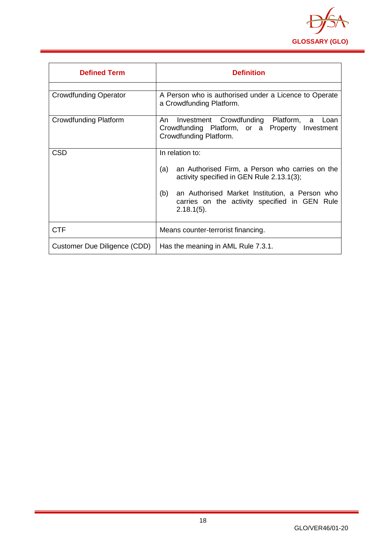

<span id="page-18-0"></span>

| <b>Defined Term</b>          | <b>Definition</b>                                                                                                                                                                                                                                 |
|------------------------------|---------------------------------------------------------------------------------------------------------------------------------------------------------------------------------------------------------------------------------------------------|
| <b>Crowdfunding Operator</b> | A Person who is authorised under a Licence to Operate<br>a Crowdfunding Platform.                                                                                                                                                                 |
| <b>Crowdfunding Platform</b> | Investment Crowdfunding Platform,<br>An<br>a<br>Loan<br>Crowdfunding Platform, or a Property Investment<br>Crowdfunding Platform.                                                                                                                 |
| <b>CSD</b>                   | In relation to:<br>an Authorised Firm, a Person who carries on the<br>(a)<br>activity specified in GEN Rule 2.13.1(3);<br>(b)<br>an Authorised Market Institution, a Person who<br>carries on the activity specified in GEN Rule<br>$2.18.1(5)$ . |
| <b>CTF</b>                   | Means counter-terrorist financing.                                                                                                                                                                                                                |
| Customer Due Diligence (CDD) | Has the meaning in AML Rule 7.3.1.                                                                                                                                                                                                                |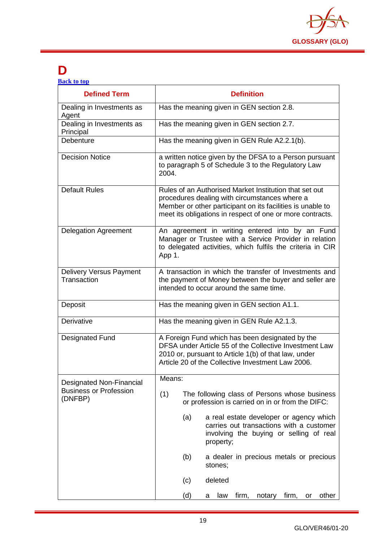

## **D**

| <b>Back to top</b> |  |  |
|--------------------|--|--|
|                    |  |  |

| <b>Defined Term</b>                           | <b>Definition</b>                                                                                                                                                                                                                  |
|-----------------------------------------------|------------------------------------------------------------------------------------------------------------------------------------------------------------------------------------------------------------------------------------|
| Dealing in Investments as<br>Agent            | Has the meaning given in GEN section 2.8.                                                                                                                                                                                          |
| Dealing in Investments as<br>Principal        | Has the meaning given in GEN section 2.7.                                                                                                                                                                                          |
| Debenture                                     | Has the meaning given in GEN Rule A2.2.1(b).                                                                                                                                                                                       |
| <b>Decision Notice</b>                        | a written notice given by the DFSA to a Person pursuant<br>to paragraph 5 of Schedule 3 to the Regulatory Law<br>2004.                                                                                                             |
| <b>Default Rules</b>                          | Rules of an Authorised Market Institution that set out<br>procedures dealing with circumstances where a<br>Member or other participant on its facilities is unable to<br>meet its obligations in respect of one or more contracts. |
| <b>Delegation Agreement</b>                   | An agreement in writing entered into by an Fund<br>Manager or Trustee with a Service Provider in relation<br>to delegated activities, which fulfils the criteria in CIR<br>App 1.                                                  |
| <b>Delivery Versus Payment</b><br>Transaction | A transaction in which the transfer of Investments and<br>the payment of Money between the buyer and seller are<br>intended to occur around the same time.                                                                         |
| Deposit                                       | Has the meaning given in GEN section A1.1.                                                                                                                                                                                         |
| Derivative                                    | Has the meaning given in GEN Rule A2.1.3.                                                                                                                                                                                          |
| <b>Designated Fund</b>                        | A Foreign Fund which has been designated by the<br>DFSA under Article 55 of the Collective Investment Law<br>2010 or, pursuant to Article 1(b) of that law, under<br>Article 20 of the Collective Investment Law 2006.             |
| <b>Designated Non-Financial</b>               | Means:                                                                                                                                                                                                                             |
| <b>Business or Profession</b><br>(DNFBP)      | (1)<br>The following class of Persons whose business<br>or profession is carried on in or from the DIFC:                                                                                                                           |
|                                               | a real estate developer or agency which<br>(a)<br>carries out transactions with a customer<br>involving the buying or selling of real<br>property;                                                                                 |
|                                               | a dealer in precious metals or precious<br>(b)<br>stones;                                                                                                                                                                          |
|                                               | deleted<br>(c)                                                                                                                                                                                                                     |
|                                               | (d)<br>firm, notary firm, or<br>other<br>law<br>a                                                                                                                                                                                  |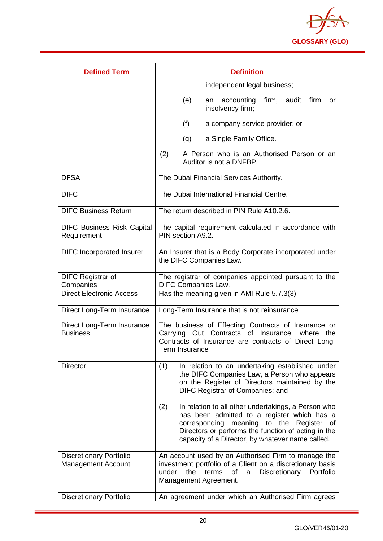

| <b>Defined Term</b>                                         | <b>Definition</b>                                                                                                                                                                                                                                                      |
|-------------------------------------------------------------|------------------------------------------------------------------------------------------------------------------------------------------------------------------------------------------------------------------------------------------------------------------------|
|                                                             | independent legal business;                                                                                                                                                                                                                                            |
|                                                             | accounting<br>firm, audit<br>(e)<br>firm<br><b>or</b><br>an<br>insolvency firm;                                                                                                                                                                                        |
|                                                             | (f)<br>a company service provider; or                                                                                                                                                                                                                                  |
|                                                             | a Single Family Office.<br>(g)                                                                                                                                                                                                                                         |
|                                                             | (2)<br>A Person who is an Authorised Person or an<br>Auditor is not a DNFBP.                                                                                                                                                                                           |
| <b>DFSA</b>                                                 | The Dubai Financial Services Authority.                                                                                                                                                                                                                                |
| <b>DIFC</b>                                                 | The Dubai International Financial Centre.                                                                                                                                                                                                                              |
| <b>DIFC Business Return</b>                                 | The return described in PIN Rule A10.2.6.                                                                                                                                                                                                                              |
| <b>DIFC Business Risk Capital</b><br>Requirement            | The capital requirement calculated in accordance with<br>PIN section A9.2.                                                                                                                                                                                             |
| <b>DIFC Incorporated Insurer</b>                            | An Insurer that is a Body Corporate incorporated under<br>the DIFC Companies Law.                                                                                                                                                                                      |
| <b>DIFC Registrar of</b><br>Companies                       | The registrar of companies appointed pursuant to the<br><b>DIFC Companies Law.</b>                                                                                                                                                                                     |
| <b>Direct Electronic Access</b>                             | Has the meaning given in AMI Rule 5.7.3(3).                                                                                                                                                                                                                            |
| Direct Long-Term Insurance                                  | Long-Term Insurance that is not reinsurance                                                                                                                                                                                                                            |
| Direct Long-Term Insurance<br><b>Business</b>               | The business of Effecting Contracts of Insurance or<br>Carrying Out Contracts of Insurance, where the<br>Contracts of Insurance are contracts of Direct Long-<br>Term Insurance                                                                                        |
| <b>Director</b>                                             | (1)<br>In relation to an undertaking established under<br>the DIFC Companies Law, a Person who appears<br>on the Register of Directors maintained by the<br>DIFC Registrar of Companies; and                                                                           |
|                                                             | (2)<br>In relation to all other undertakings, a Person who<br>has been admitted to a register which has a<br>corresponding<br>meaning to the Register<br>of<br>Directors or performs the function of acting in the<br>capacity of a Director, by whatever name called. |
| <b>Discretionary Portfolio</b><br><b>Management Account</b> | An account used by an Authorised Firm to manage the<br>investment portfolio of a Client on a discretionary basis<br>under<br>the<br>Discretionary Portfolio<br>terms<br>0f<br>a<br>Management Agreement.                                                               |
| <b>Discretionary Portfolio</b>                              | An agreement under which an Authorised Firm agrees                                                                                                                                                                                                                     |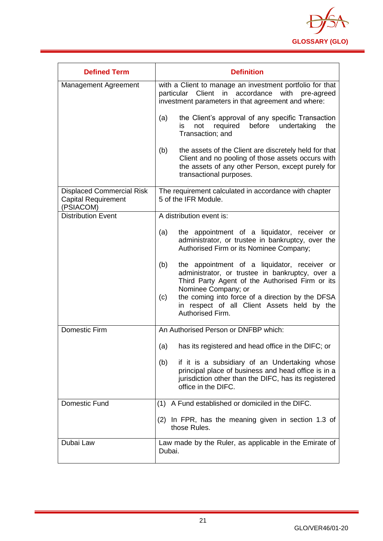

| <b>Defined Term</b>                                                         | <b>Definition</b>                                                                                                                                                                                                                                                                          |
|-----------------------------------------------------------------------------|--------------------------------------------------------------------------------------------------------------------------------------------------------------------------------------------------------------------------------------------------------------------------------------------|
| Management Agreement                                                        | with a Client to manage an investment portfolio for that<br>particular Client in accordance with<br>pre-agreed<br>investment parameters in that agreement and where:                                                                                                                       |
|                                                                             | the Client's approval of any specific Transaction<br>(a)<br>before<br>required<br>undertaking<br>the<br>is.<br>not<br>Transaction; and                                                                                                                                                     |
|                                                                             | the assets of the Client are discretely held for that<br>(b)<br>Client and no pooling of those assets occurs with<br>the assets of any other Person, except purely for<br>transactional purposes.                                                                                          |
| <b>Displaced Commercial Risk</b><br><b>Capital Requirement</b><br>(PSIACOM) | The requirement calculated in accordance with chapter<br>5 of the IFR Module.                                                                                                                                                                                                              |
| <b>Distribution Event</b>                                                   | A distribution event is:                                                                                                                                                                                                                                                                   |
|                                                                             | the appointment of a liquidator, receiver or<br>(a)<br>administrator, or trustee in bankruptcy, over the<br>Authorised Firm or its Nominee Company;                                                                                                                                        |
|                                                                             | the appointment of a liquidator, receiver or<br>(b)<br>administrator, or trustee in bankruptcy, over a<br>Third Party Agent of the Authorised Firm or its<br>Nominee Company; or<br>the coming into force of a direction by the DFSA<br>(c)<br>in respect of all Client Assets held by the |
|                                                                             | Authorised Firm.                                                                                                                                                                                                                                                                           |
| <b>Domestic Firm</b>                                                        | An Authorised Person or DNFBP which:                                                                                                                                                                                                                                                       |
|                                                                             | has its registered and head office in the DIFC; or<br>(a)                                                                                                                                                                                                                                  |
|                                                                             | if it is a subsidiary of an Undertaking whose<br>(b)<br>principal place of business and head office is in a<br>jurisdiction other than the DIFC, has its registered<br>office in the DIFC.                                                                                                 |
| Domestic Fund                                                               | (1) A Fund established or domiciled in the DIFC.                                                                                                                                                                                                                                           |
|                                                                             | (2) In FPR, has the meaning given in section 1.3 of<br>those Rules.                                                                                                                                                                                                                        |
| Dubai Law                                                                   | Law made by the Ruler, as applicable in the Emirate of<br>Dubai.                                                                                                                                                                                                                           |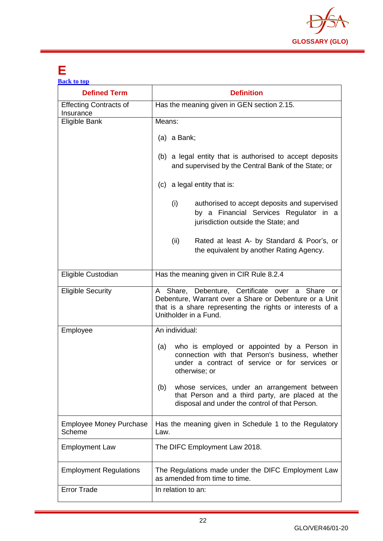

### <span id="page-22-0"></span>**E**

| <b>Back to top</b>                         |                                                                                                                                                                                                 |
|--------------------------------------------|-------------------------------------------------------------------------------------------------------------------------------------------------------------------------------------------------|
| <b>Defined Term</b>                        | <b>Definition</b>                                                                                                                                                                               |
| <b>Effecting Contracts of</b><br>Insurance | Has the meaning given in GEN section 2.15.                                                                                                                                                      |
| Eligible Bank                              | Means:                                                                                                                                                                                          |
|                                            | $(a)$ a Bank;                                                                                                                                                                                   |
|                                            | (b) a legal entity that is authorised to accept deposits<br>and supervised by the Central Bank of the State; or                                                                                 |
|                                            | (c) a legal entity that is:                                                                                                                                                                     |
|                                            | (i)<br>authorised to accept deposits and supervised<br>by a Financial Services Regulator in a<br>jurisdiction outside the State; and                                                            |
|                                            | (ii)<br>Rated at least A- by Standard & Poor's, or<br>the equivalent by another Rating Agency.                                                                                                  |
| Eligible Custodian                         | Has the meaning given in CIR Rule 8.2.4                                                                                                                                                         |
| <b>Eligible Security</b>                   | A Share, Debenture, Certificate over a Share or<br>Debenture, Warrant over a Share or Debenture or a Unit<br>that is a share representing the rights or interests of a<br>Unitholder in a Fund. |
| Employee                                   | An individual:                                                                                                                                                                                  |
|                                            | who is employed or appointed by a Person in<br>(a)<br>connection with that Person's business, whether<br>under a contract of service or for services or<br>otherwise; or                        |
|                                            | whose services, under an arrangement between<br>(b)<br>that Person and a third party, are placed at the<br>disposal and under the control of that Person.                                       |
| <b>Employee Money Purchase</b><br>Scheme   | Has the meaning given in Schedule 1 to the Regulatory<br>Law.                                                                                                                                   |
| <b>Employment Law</b>                      | The DIFC Employment Law 2018.                                                                                                                                                                   |
| <b>Employment Regulations</b>              | The Regulations made under the DIFC Employment Law<br>as amended from time to time.                                                                                                             |
| Error Trade                                | In relation to an:                                                                                                                                                                              |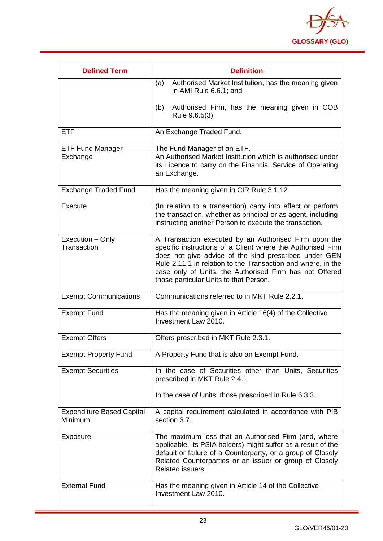

| <b>Defined Term</b>                         | <b>Definition</b>                                                                                                                                                                                                                                                                                                                                  |
|---------------------------------------------|----------------------------------------------------------------------------------------------------------------------------------------------------------------------------------------------------------------------------------------------------------------------------------------------------------------------------------------------------|
|                                             | (a)<br>Authorised Market Institution, has the meaning given<br>in AMI Rule 6.6.1; and                                                                                                                                                                                                                                                              |
|                                             | Authorised Firm, has the meaning given in COB<br>(b)<br>Rule 9.6.5(3)                                                                                                                                                                                                                                                                              |
| <b>ETF</b>                                  | An Exchange Traded Fund.                                                                                                                                                                                                                                                                                                                           |
| <b>ETF Fund Manager</b>                     | The Fund Manager of an ETF.                                                                                                                                                                                                                                                                                                                        |
| Exchange                                    | An Authorised Market Institution which is authorised under<br>its Licence to carry on the Financial Service of Operating<br>an Exchange.                                                                                                                                                                                                           |
| <b>Exchange Traded Fund</b>                 | Has the meaning given in CIR Rule 3.1.12.                                                                                                                                                                                                                                                                                                          |
| Execute                                     | (In relation to a transaction) carry into effect or perform<br>the transaction, whether as principal or as agent, including<br>instructing another Person to execute the transaction.                                                                                                                                                              |
| Execution - Only<br>Transaction             | A Transaction executed by an Authorised Firm upon the<br>specific instructions of a Client where the Authorised Firm<br>does not give advice of the kind prescribed under GEN<br>Rule 2.11.1 in relation to the Transaction and where, in the<br>case only of Units, the Authorised Firm has not Offered<br>those particular Units to that Person. |
| <b>Exempt Communications</b>                | Communications referred to in MKT Rule 2.2.1.                                                                                                                                                                                                                                                                                                      |
| <b>Exempt Fund</b>                          | Has the meaning given in Article 16(4) of the Collective<br>Investment Law 2010.                                                                                                                                                                                                                                                                   |
| <b>Exempt Offers</b>                        | Offers prescribed in MKT Rule 2.3.1.                                                                                                                                                                                                                                                                                                               |
| <b>Exempt Property Fund</b>                 | A Property Fund that is also an Exempt Fund.                                                                                                                                                                                                                                                                                                       |
| <b>Exempt Securities</b>                    | In the case of Securities other than Units, Securities<br>prescribed in MKT Rule 2.4.1.                                                                                                                                                                                                                                                            |
|                                             | In the case of Units, those prescribed in Rule 6.3.3.                                                                                                                                                                                                                                                                                              |
| <b>Expenditure Based Capital</b><br>Minimum | A capital requirement calculated in accordance with PIB<br>section 3.7.                                                                                                                                                                                                                                                                            |
| Exposure                                    | The maximum loss that an Authorised Firm (and, where<br>applicable, its PSIA holders) might suffer as a result of the<br>default or failure of a Counterparty, or a group of Closely<br>Related Counterparties or an issuer or group of Closely<br>Related issuers.                                                                                |
| <b>External Fund</b>                        | Has the meaning given in Article 14 of the Collective<br>Investment Law 2010.                                                                                                                                                                                                                                                                      |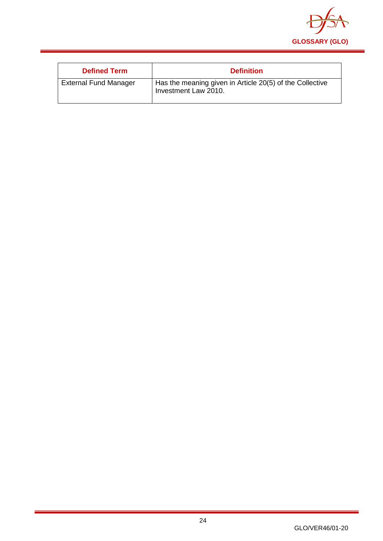

<span id="page-24-0"></span>

| <b>Defined Term</b>          | <b>Definition</b>                                                                |
|------------------------------|----------------------------------------------------------------------------------|
| <b>External Fund Manager</b> | Has the meaning given in Article 20(5) of the Collective<br>Investment Law 2010. |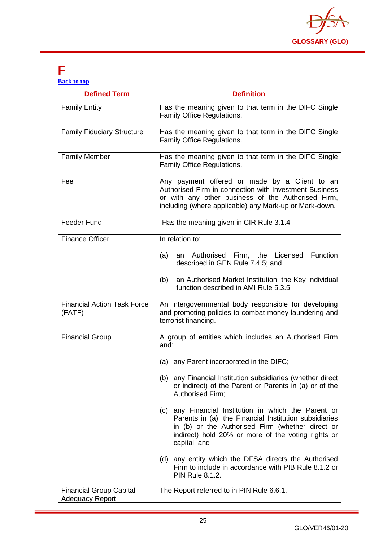

### **F**

| <b>Back to top</b> |  |  |
|--------------------|--|--|
|                    |  |  |
|                    |  |  |

| <b>Defined Term</b>                                      | <b>Definition</b>                                                                                                                                                                                                                           |
|----------------------------------------------------------|---------------------------------------------------------------------------------------------------------------------------------------------------------------------------------------------------------------------------------------------|
| <b>Family Entity</b>                                     | Has the meaning given to that term in the DIFC Single<br>Family Office Regulations.                                                                                                                                                         |
| <b>Family Fiduciary Structure</b>                        | Has the meaning given to that term in the DIFC Single<br>Family Office Regulations.                                                                                                                                                         |
| <b>Family Member</b>                                     | Has the meaning given to that term in the DIFC Single<br>Family Office Regulations.                                                                                                                                                         |
| Fee                                                      | Any payment offered or made by a Client to an<br>Authorised Firm in connection with Investment Business<br>or with any other business of the Authorised Firm,<br>including (where applicable) any Mark-up or Mark-down.                     |
| <b>Feeder Fund</b>                                       | Has the meaning given in CIR Rule 3.1.4                                                                                                                                                                                                     |
| <b>Finance Officer</b>                                   | In relation to:<br>Function<br>(a) an Authorised Firm, the Licensed<br>described in GEN Rule 7.4.5; and                                                                                                                                     |
|                                                          | an Authorised Market Institution, the Key Individual<br>(b)<br>function described in AMI Rule 5.3.5.                                                                                                                                        |
| <b>Financial Action Task Force</b><br>(FATF)             | An intergovernmental body responsible for developing<br>and promoting policies to combat money laundering and<br>terrorist financing.                                                                                                       |
| <b>Financial Group</b>                                   | A group of entities which includes an Authorised Firm<br>and:                                                                                                                                                                               |
|                                                          | (a) any Parent incorporated in the DIFC;                                                                                                                                                                                                    |
|                                                          | (b) any Financial Institution subsidiaries (whether direct<br>or indirect) of the Parent or Parents in (a) or of the<br>Authorised Firm;                                                                                                    |
|                                                          | any Financial Institution in which the Parent or<br>(c)<br>Parents in (a), the Financial Institution subsidiaries<br>in (b) or the Authorised Firm (whether direct or<br>indirect) hold 20% or more of the voting rights or<br>capital; and |
|                                                          | (d) any entity which the DFSA directs the Authorised<br>Firm to include in accordance with PIB Rule 8.1.2 or<br><b>PIN Rule 8.1.2.</b>                                                                                                      |
| <b>Financial Group Capital</b><br><b>Adequacy Report</b> | The Report referred to in PIN Rule 6.6.1.                                                                                                                                                                                                   |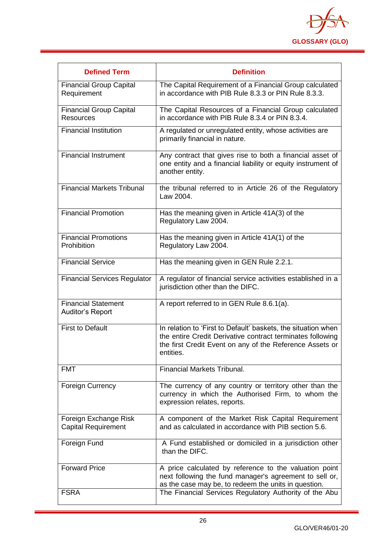

| <b>Defined Term</b>                                   | <b>Definition</b>                                                                                                                                                                                    |
|-------------------------------------------------------|------------------------------------------------------------------------------------------------------------------------------------------------------------------------------------------------------|
| <b>Financial Group Capital</b><br>Requirement         | The Capital Requirement of a Financial Group calculated<br>in accordance with PIB Rule 8.3.3 or PIN Rule 8.3.3.                                                                                      |
| <b>Financial Group Capital</b><br><b>Resources</b>    | The Capital Resources of a Financial Group calculated<br>in accordance with PIB Rule 8.3.4 or PIN 8.3.4.                                                                                             |
| <b>Financial Institution</b>                          | A regulated or unregulated entity, whose activities are<br>primarily financial in nature.                                                                                                            |
| <b>Financial Instrument</b>                           | Any contract that gives rise to both a financial asset of<br>one entity and a financial liability or equity instrument of<br>another entity.                                                         |
| <b>Financial Markets Tribunal</b>                     | the tribunal referred to in Article 26 of the Regulatory<br>Law 2004.                                                                                                                                |
| <b>Financial Promotion</b>                            | Has the meaning given in Article 41A(3) of the<br>Regulatory Law 2004.                                                                                                                               |
| <b>Financial Promotions</b><br>Prohibition            | Has the meaning given in Article 41A(1) of the<br>Regulatory Law 2004.                                                                                                                               |
| <b>Financial Service</b>                              | Has the meaning given in GEN Rule 2.2.1.                                                                                                                                                             |
| <b>Financial Services Regulator</b>                   | A regulator of financial service activities established in a<br>jurisdiction other than the DIFC.                                                                                                    |
| <b>Financial Statement</b><br><b>Auditor's Report</b> | A report referred to in GEN Rule 8.6.1(a).                                                                                                                                                           |
| <b>First to Default</b>                               | In relation to 'First to Default' baskets, the situation when<br>the entire Credit Derivative contract terminates following<br>the first Credit Event on any of the Reference Assets or<br>entities. |
| <b>FMT</b>                                            | <b>Financial Markets Tribunal.</b>                                                                                                                                                                   |
| <b>Foreign Currency</b>                               | The currency of any country or territory other than the<br>currency in which the Authorised Firm, to whom the<br>expression relates, reports.                                                        |
| Foreign Exchange Risk<br><b>Capital Requirement</b>   | A component of the Market Risk Capital Requirement<br>and as calculated in accordance with PIB section 5.6.                                                                                          |
| Foreign Fund                                          | A Fund established or domiciled in a jurisdiction other<br>than the DIFC.                                                                                                                            |
| <b>Forward Price</b>                                  | A price calculated by reference to the valuation point<br>next following the fund manager's agreement to sell or,<br>as the case may be, to redeem the units in question.                            |
| <b>FSRA</b>                                           | The Financial Services Regulatory Authority of the Abu                                                                                                                                               |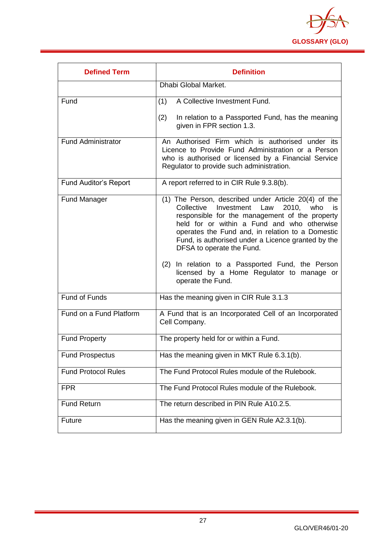

<span id="page-27-0"></span>

| <b>Defined Term</b>          | <b>Definition</b>                                                                                                                                                                                                                                                                                                                                                                                                                                                     |
|------------------------------|-----------------------------------------------------------------------------------------------------------------------------------------------------------------------------------------------------------------------------------------------------------------------------------------------------------------------------------------------------------------------------------------------------------------------------------------------------------------------|
|                              | Dhabi Global Market.                                                                                                                                                                                                                                                                                                                                                                                                                                                  |
| Fund                         | A Collective Investment Fund.<br>(1)                                                                                                                                                                                                                                                                                                                                                                                                                                  |
|                              | In relation to a Passported Fund, has the meaning<br>(2)<br>given in FPR section 1.3.                                                                                                                                                                                                                                                                                                                                                                                 |
| <b>Fund Administrator</b>    | An Authorised Firm which is authorised under its<br>Licence to Provide Fund Administration or a Person<br>who is authorised or licensed by a Financial Service<br>Regulator to provide such administration.                                                                                                                                                                                                                                                           |
| <b>Fund Auditor's Report</b> | A report referred to in CIR Rule 9.3.8(b).                                                                                                                                                                                                                                                                                                                                                                                                                            |
| <b>Fund Manager</b>          | (1) The Person, described under Article 20(4) of the<br>Investment Law<br>Collective<br>2010, who<br>is<br>responsible for the management of the property<br>held for or within a Fund and who otherwise<br>operates the Fund and, in relation to a Domestic<br>Fund, is authorised under a Licence granted by the<br>DFSA to operate the Fund.<br>(2) In relation to a Passported Fund, the Person<br>licensed by a Home Regulator to manage or<br>operate the Fund. |
| Fund of Funds                | Has the meaning given in CIR Rule 3.1.3                                                                                                                                                                                                                                                                                                                                                                                                                               |
| Fund on a Fund Platform      | A Fund that is an Incorporated Cell of an Incorporated<br>Cell Company.                                                                                                                                                                                                                                                                                                                                                                                               |
| <b>Fund Property</b>         | The property held for or within a Fund.                                                                                                                                                                                                                                                                                                                                                                                                                               |
| <b>Fund Prospectus</b>       | Has the meaning given in MKT Rule 6.3.1(b).                                                                                                                                                                                                                                                                                                                                                                                                                           |
| <b>Fund Protocol Rules</b>   | The Fund Protocol Rules module of the Rulebook.                                                                                                                                                                                                                                                                                                                                                                                                                       |
| <b>FPR</b>                   | The Fund Protocol Rules module of the Rulebook.                                                                                                                                                                                                                                                                                                                                                                                                                       |
| <b>Fund Return</b>           | The return described in PIN Rule A10.2.5.                                                                                                                                                                                                                                                                                                                                                                                                                             |
| <b>Future</b>                | Has the meaning given in GEN Rule A2.3.1(b).                                                                                                                                                                                                                                                                                                                                                                                                                          |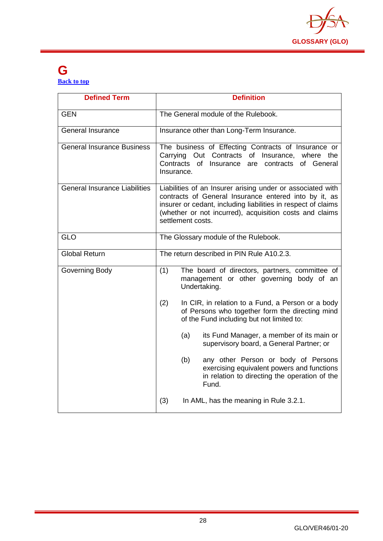

#### **G [Back to top](#page-1-0)**

| <b>Defined Term</b>                  | <b>Definition</b>                                                                                                                                                                                                                                                    |
|--------------------------------------|----------------------------------------------------------------------------------------------------------------------------------------------------------------------------------------------------------------------------------------------------------------------|
| <b>GEN</b>                           | The General module of the Rulebook.                                                                                                                                                                                                                                  |
| <b>General Insurance</b>             | Insurance other than Long-Term Insurance.                                                                                                                                                                                                                            |
| General Insurance Business           | The business of Effecting Contracts of Insurance or<br>Carrying Out Contracts of Insurance, where the<br>Contracts<br>of Insurance<br>are<br>contracts of General<br>Insurance.                                                                                      |
| <b>General Insurance Liabilities</b> | Liabilities of an Insurer arising under or associated with<br>contracts of General Insurance entered into by it, as<br>insurer or cedant, including liabilities in respect of claims<br>(whether or not incurred), acquisition costs and claims<br>settlement costs. |
| <b>GLO</b>                           | The Glossary module of the Rulebook.                                                                                                                                                                                                                                 |
| <b>Global Return</b>                 | The return described in PIN Rule A10.2.3.                                                                                                                                                                                                                            |
| Governing Body                       | (1)<br>The board of directors, partners, committee of<br>management or other governing body of an<br>Undertaking.                                                                                                                                                    |
|                                      | (2)<br>In CIR, in relation to a Fund, a Person or a body<br>of Persons who together form the directing mind<br>of the Fund including but not limited to:                                                                                                             |
|                                      | (a)<br>its Fund Manager, a member of its main or<br>supervisory board, a General Partner; or                                                                                                                                                                         |
|                                      | (b)<br>any other Person or body of Persons<br>exercising equivalent powers and functions<br>in relation to directing the operation of the<br>Fund.                                                                                                                   |
|                                      | (3)<br>In AML, has the meaning in Rule 3.2.1.                                                                                                                                                                                                                        |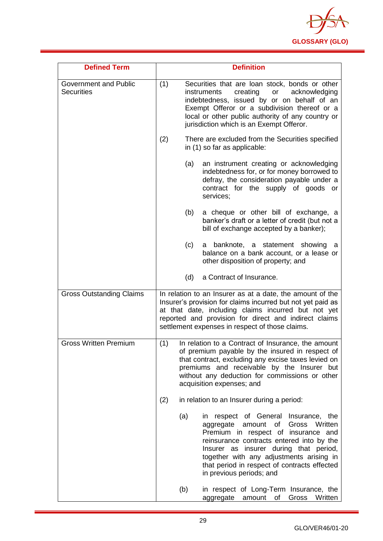

| <b>Defined Term</b>                               | <b>Definition</b>                                                                                                                                                                                                                                                                                                                                  |
|---------------------------------------------------|----------------------------------------------------------------------------------------------------------------------------------------------------------------------------------------------------------------------------------------------------------------------------------------------------------------------------------------------------|
| <b>Government and Public</b><br><b>Securities</b> | (1)<br>Securities that are loan stock, bonds or other<br>creating<br>acknowledging<br>instruments<br>or<br>indebtedness, issued by or on behalf of an<br>Exempt Offeror or a subdivision thereof or a<br>local or other public authority of any country or<br>jurisdiction which is an Exempt Offeror.                                             |
|                                                   | (2)<br>There are excluded from the Securities specified<br>in (1) so far as applicable:                                                                                                                                                                                                                                                            |
|                                                   | (a)<br>an instrument creating or acknowledging<br>indebtedness for, or for money borrowed to<br>defray, the consideration payable under a<br>contract for the supply of goods or<br>services;                                                                                                                                                      |
|                                                   | a cheque or other bill of exchange, a<br>(b)<br>banker's draft or a letter of credit (but not a<br>bill of exchange accepted by a banker);                                                                                                                                                                                                         |
|                                                   | (c)<br>a banknote, a statement showing<br>a<br>balance on a bank account, or a lease or<br>other disposition of property; and                                                                                                                                                                                                                      |
|                                                   | a Contract of Insurance.<br>(d)                                                                                                                                                                                                                                                                                                                    |
| <b>Gross Outstanding Claims</b>                   | In relation to an Insurer as at a date, the amount of the<br>Insurer's provision for claims incurred but not yet paid as<br>at that date, including claims incurred but not yet<br>reported and provision for direct and indirect claims<br>settlement expenses in respect of those claims.                                                        |
| <b>Gross Written Premium</b>                      | (1)<br>In relation to a Contract of Insurance, the amount<br>of premium payable by the insured in respect of<br>that contract, excluding any excise taxes levied on<br>premiums and receivable by the Insurer but<br>without any deduction for commissions or other<br>acquisition expenses; and                                                   |
|                                                   | (2)<br>in relation to an Insurer during a period:                                                                                                                                                                                                                                                                                                  |
|                                                   | (a)<br>in respect of General Insurance, the<br>amount<br>Gross<br>Written<br>aggregate<br>of<br>Premium in respect of insurance and<br>reinsurance contracts entered into by the<br>Insurer as insurer during that period,<br>together with any adjustments arising in<br>that period in respect of contracts effected<br>in previous periods; and |
|                                                   | (b)<br>in respect of Long-Term Insurance, the<br>Gross<br>Written<br>aggregate<br>amount<br>of                                                                                                                                                                                                                                                     |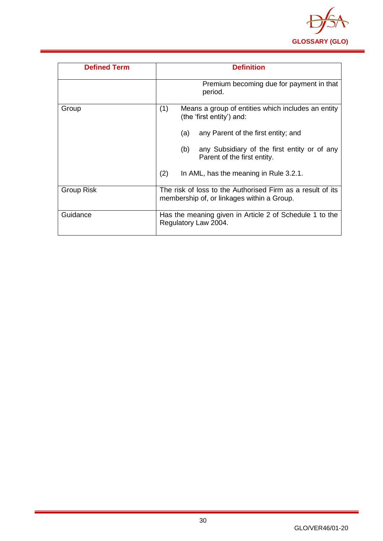

| <b>Defined Term</b> | <b>Definition</b>                                                                                        |
|---------------------|----------------------------------------------------------------------------------------------------------|
|                     | Premium becoming due for payment in that<br>period.                                                      |
| Group               | (1)<br>Means a group of entities which includes an entity<br>(the 'first entity') and:                   |
|                     | any Parent of the first entity; and<br>(a)                                                               |
|                     | any Subsidiary of the first entity or of any<br>(b)<br>Parent of the first entity.                       |
|                     | (2)<br>In AML, has the meaning in Rule 3.2.1.                                                            |
| Group Risk          | The risk of loss to the Authorised Firm as a result of its<br>membership of, or linkages within a Group. |
| Guidance            | Has the meaning given in Article 2 of Schedule 1 to the<br>Regulatory Law 2004.                          |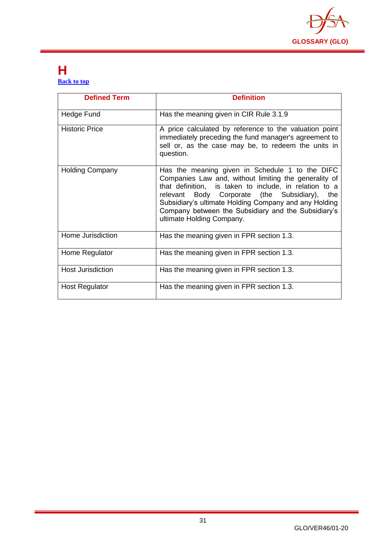

#### <span id="page-31-0"></span>**H [Back to top](#page-1-0)**

| <b>Defined Term</b>      | <b>Definition</b>                                                                                                                                                                                                                                                                                                                                                      |
|--------------------------|------------------------------------------------------------------------------------------------------------------------------------------------------------------------------------------------------------------------------------------------------------------------------------------------------------------------------------------------------------------------|
| Hedge Fund               | Has the meaning given in CIR Rule 3.1.9                                                                                                                                                                                                                                                                                                                                |
| <b>Historic Price</b>    | A price calculated by reference to the valuation point<br>immediately preceding the fund manager's agreement to<br>sell or, as the case may be, to redeem the units in<br>question.                                                                                                                                                                                    |
| <b>Holding Company</b>   | Has the meaning given in Schedule 1 to the DIFC<br>Companies Law and, without limiting the generality of<br>that definition, is taken to include, in relation to a<br>Body Corporate (the Subsidiary),<br>relevant<br>the<br>Subsidiary's ultimate Holding Company and any Holding<br>Company between the Subsidiary and the Subsidiary's<br>ultimate Holding Company. |
| Home Jurisdiction        | Has the meaning given in FPR section 1.3.                                                                                                                                                                                                                                                                                                                              |
| Home Regulator           | Has the meaning given in FPR section 1.3.                                                                                                                                                                                                                                                                                                                              |
| <b>Host Jurisdiction</b> | Has the meaning given in FPR section 1.3.                                                                                                                                                                                                                                                                                                                              |
| <b>Host Regulator</b>    | Has the meaning given in FPR section 1.3.                                                                                                                                                                                                                                                                                                                              |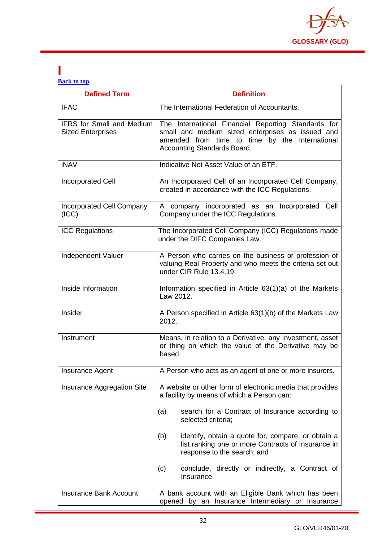

#### <span id="page-32-0"></span>**I [Back to top](#page-1-0)**

| <b>Defined Term</b>                                          | <b>Definition</b>                                                                                                                                                                        |
|--------------------------------------------------------------|------------------------------------------------------------------------------------------------------------------------------------------------------------------------------------------|
| <b>IFAC</b>                                                  | The International Federation of Accountants.                                                                                                                                             |
| <b>IFRS</b> for Small and Medium<br><b>Sized Enterprises</b> | The International Financial Reporting Standards for<br>small and medium sized enterprises as issued and<br>amended from time to time by the International<br>Accounting Standards Board. |
| <b>iNAV</b>                                                  | Indicative Net Asset Value of an ETF.                                                                                                                                                    |
| Incorporated Cell                                            | An Incorporated Cell of an Incorporated Cell Company,<br>created in accordance with the ICC Regulations.                                                                                 |
| <b>Incorporated Cell Company</b><br>(ICC)                    | A company incorporated as an Incorporated Cell<br>Company under the ICC Regulations.                                                                                                     |
| <b>ICC Regulations</b>                                       | The Incorporated Cell Company (ICC) Regulations made<br>under the DIFC Companies Law.                                                                                                    |
| Independent Valuer                                           | A Person who carries on the business or profession of<br>valuing Real Property and who meets the criteria set out<br>under CIR Rule 13.4.19.                                             |
| Inside Information                                           | Information specified in Article 63(1)(a) of the Markets<br>Law 2012.                                                                                                                    |
| Insider                                                      | A Person specified in Article 63(1)(b) of the Markets Law<br>2012.                                                                                                                       |
| Instrument                                                   | Means, in relation to a Derivative, any Investment, asset<br>or thing on which the value of the Derivative may be<br>based.                                                              |
| <b>Insurance Agent</b>                                       | A Person who acts as an agent of one or more insurers.                                                                                                                                   |
| Insurance Aggregation Site                                   | A website or other form of electronic media that provides<br>a facility by means of which a Person can:                                                                                  |
|                                                              | search for a Contract of Insurance according to<br>(a)<br>selected criteria;                                                                                                             |
|                                                              | identify, obtain a quote for, compare, or obtain a<br>(b)<br>list ranking one or more Contracts of Insurance in<br>response to the search; and                                           |
|                                                              | conclude, directly or indirectly, a Contract of<br>(c)<br>Insurance.                                                                                                                     |
| <b>Insurance Bank Account</b>                                | A bank account with an Eligible Bank which has been<br>opened by an Insurance Intermediary or Insurance                                                                                  |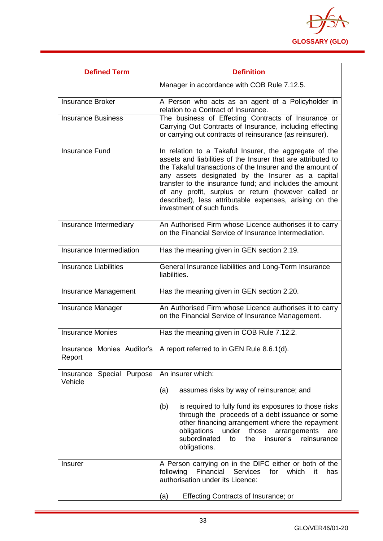

| <b>Defined Term</b>                  | <b>Definition</b>                                                                                                                                                                                                                                                                                                                                                                                                                                 |
|--------------------------------------|---------------------------------------------------------------------------------------------------------------------------------------------------------------------------------------------------------------------------------------------------------------------------------------------------------------------------------------------------------------------------------------------------------------------------------------------------|
|                                      | Manager in accordance with COB Rule 7.12.5.                                                                                                                                                                                                                                                                                                                                                                                                       |
| <b>Insurance Broker</b>              | A Person who acts as an agent of a Policyholder in<br>relation to a Contract of Insurance.                                                                                                                                                                                                                                                                                                                                                        |
| <b>Insurance Business</b>            | The business of Effecting Contracts of Insurance or<br>Carrying Out Contracts of Insurance, including effecting<br>or carrying out contracts of reinsurance (as reinsurer).                                                                                                                                                                                                                                                                       |
| <b>Insurance Fund</b>                | In relation to a Takaful Insurer, the aggregate of the<br>assets and liabilities of the Insurer that are attributed to<br>the Takaful transactions of the Insurer and the amount of<br>any assets designated by the Insurer as a capital<br>transfer to the insurance fund; and includes the amount<br>of any profit, surplus or return (however called or<br>described), less attributable expenses, arising on the<br>investment of such funds. |
| Insurance Intermediary               | An Authorised Firm whose Licence authorises it to carry<br>on the Financial Service of Insurance Intermediation.                                                                                                                                                                                                                                                                                                                                  |
| Insurance Intermediation             | Has the meaning given in GEN section 2.19.                                                                                                                                                                                                                                                                                                                                                                                                        |
| <b>Insurance Liabilities</b>         | General Insurance liabilities and Long-Term Insurance<br>liabilities.                                                                                                                                                                                                                                                                                                                                                                             |
| Insurance Management                 | Has the meaning given in GEN section 2.20.                                                                                                                                                                                                                                                                                                                                                                                                        |
| <b>Insurance Manager</b>             | An Authorised Firm whose Licence authorises it to carry<br>on the Financial Service of Insurance Management.                                                                                                                                                                                                                                                                                                                                      |
| Insurance Monies                     | Has the meaning given in COB Rule 7.12.2.                                                                                                                                                                                                                                                                                                                                                                                                         |
| Report                               | Insurance Monies Auditor's   A report referred to in GEN Rule 8.6.1(d).                                                                                                                                                                                                                                                                                                                                                                           |
| Insurance Special Purpose<br>Vehicle | An insurer which:                                                                                                                                                                                                                                                                                                                                                                                                                                 |
|                                      | (a)<br>assumes risks by way of reinsurance; and                                                                                                                                                                                                                                                                                                                                                                                                   |
|                                      | (b)<br>is required to fully fund its exposures to those risks<br>through the proceeds of a debt issuance or some<br>other financing arrangement where the repayment<br>obligations<br>under<br>those<br>arrangements<br>are<br>subordinated<br>insurer's<br>reinsurance<br>the<br>to<br>obligations.                                                                                                                                              |
| <b>Insurer</b>                       | A Person carrying on in the DIFC either or both of the<br>Services<br>following<br>Financial<br>for<br>which<br>has<br>it<br>authorisation under its Licence:                                                                                                                                                                                                                                                                                     |
|                                      | <b>Effecting Contracts of Insurance; or</b><br>(a)                                                                                                                                                                                                                                                                                                                                                                                                |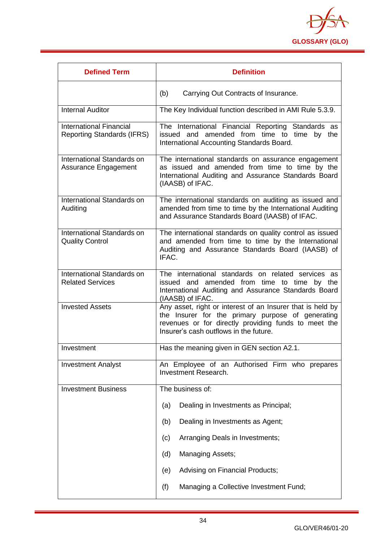

| <b>Defined Term</b>                                                 | <b>Definition</b>                                                                                                                                                                                                 |
|---------------------------------------------------------------------|-------------------------------------------------------------------------------------------------------------------------------------------------------------------------------------------------------------------|
|                                                                     | (b)<br>Carrying Out Contracts of Insurance.                                                                                                                                                                       |
| <b>Internal Auditor</b>                                             | The Key Individual function described in AMI Rule 5.3.9.                                                                                                                                                          |
| <b>International Financial</b><br><b>Reporting Standards (IFRS)</b> | The International Financial Reporting Standards as<br>issued and amended from time to time by<br>the<br>International Accounting Standards Board.                                                                 |
| International Standards on<br>Assurance Engagement                  | The international standards on assurance engagement<br>as issued and amended from time to time by the<br>International Auditing and Assurance Standards Board<br>(IAASB) of IFAC.                                 |
| International Standards on<br>Auditing                              | The international standards on auditing as issued and<br>amended from time to time by the International Auditing<br>and Assurance Standards Board (IAASB) of IFAC.                                                |
| International Standards on<br><b>Quality Control</b>                | The international standards on quality control as issued<br>and amended from time to time by the International<br>Auditing and Assurance Standards Board (IAASB) of<br>IFAC.                                      |
| International Standards on<br><b>Related Services</b>               | The international standards on related services as<br>issued and amended from time to time by the<br>International Auditing and Assurance Standards Board<br>(IAASB) of IFAC.                                     |
| <b>Invested Assets</b>                                              | Any asset, right or interest of an Insurer that is held by<br>the Insurer for the primary purpose of generating<br>revenues or for directly providing funds to meet the<br>Insurer's cash outflows in the future. |
| Investment                                                          | Has the meaning given in GEN section A2.1.                                                                                                                                                                        |
| <b>Investment Analyst</b>                                           | An Employee of an Authorised Firm who prepares<br><b>Investment Research.</b>                                                                                                                                     |
| <b>Investment Business</b>                                          | The business of:                                                                                                                                                                                                  |
|                                                                     | Dealing in Investments as Principal;<br>(a)                                                                                                                                                                       |
|                                                                     | (b)<br>Dealing in Investments as Agent;                                                                                                                                                                           |
|                                                                     | Arranging Deals in Investments;<br>(c)                                                                                                                                                                            |
|                                                                     | <b>Managing Assets;</b><br>(d)                                                                                                                                                                                    |
|                                                                     | Advising on Financial Products;<br>(e)                                                                                                                                                                            |
|                                                                     | (f)<br>Managing a Collective Investment Fund;                                                                                                                                                                     |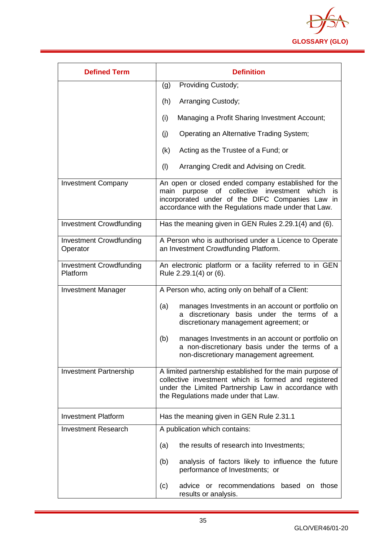

| <b>Defined Term</b>                        | <b>Definition</b>                                                                                                                                                                                                          |
|--------------------------------------------|----------------------------------------------------------------------------------------------------------------------------------------------------------------------------------------------------------------------------|
|                                            | Providing Custody;<br>(g)                                                                                                                                                                                                  |
|                                            | Arranging Custody;<br>(h)                                                                                                                                                                                                  |
|                                            | Managing a Profit Sharing Investment Account;<br>(i)                                                                                                                                                                       |
|                                            | Operating an Alternative Trading System;<br>(j)                                                                                                                                                                            |
|                                            | Acting as the Trustee of a Fund; or<br>(k)                                                                                                                                                                                 |
|                                            | (1)<br>Arranging Credit and Advising on Credit.                                                                                                                                                                            |
| <b>Investment Company</b>                  | An open or closed ended company established for the<br>purpose of<br>collective investment which<br>main<br>is.<br>incorporated under of the DIFC Companies Law in<br>accordance with the Regulations made under that Law. |
| <b>Investment Crowdfunding</b>             | Has the meaning given in GEN Rules 2.29.1(4) and (6).                                                                                                                                                                      |
| <b>Investment Crowdfunding</b><br>Operator | A Person who is authorised under a Licence to Operate<br>an Investment Crowdfunding Platform.                                                                                                                              |
| <b>Investment Crowdfunding</b><br>Platform | An electronic platform or a facility referred to in GEN<br>Rule 2.29.1(4) or (6).                                                                                                                                          |
| <b>Investment Manager</b>                  | A Person who, acting only on behalf of a Client:                                                                                                                                                                           |
|                                            | manages Investments in an account or portfolio on<br>(a)<br>discretionary basis under the terms of a<br>discretionary management agreement; or                                                                             |
|                                            | (b)<br>manages Investments in an account or portfolio on<br>a non-discretionary basis under the terms of a<br>non-discretionary management agreement.                                                                      |
| <b>Investment Partnership</b>              | A limited partnership established for the main purpose of<br>collective investment which is formed and registered<br>under the Limited Partnership Law in accordance with<br>the Regulations made under that Law.          |
| <b>Investment Platform</b>                 | Has the meaning given in GEN Rule 2.31.1                                                                                                                                                                                   |
| <b>Investment Research</b>                 | A publication which contains:                                                                                                                                                                                              |
|                                            | the results of research into Investments;<br>(a)                                                                                                                                                                           |
|                                            | analysis of factors likely to influence the future<br>(b)<br>performance of Investments; or                                                                                                                                |
|                                            | advice or recommendations based on those<br>(c)<br>results or analysis.                                                                                                                                                    |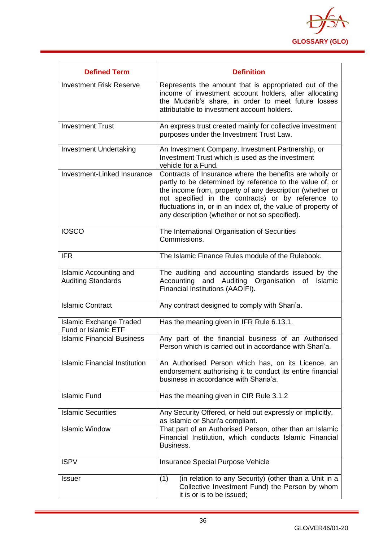

| <b>Defined Term</b>                                          | <b>Definition</b>                                                                                                                                                                                                                                                                                                                                       |
|--------------------------------------------------------------|---------------------------------------------------------------------------------------------------------------------------------------------------------------------------------------------------------------------------------------------------------------------------------------------------------------------------------------------------------|
| <b>Investment Risk Reserve</b>                               | Represents the amount that is appropriated out of the<br>income of investment account holders, after allocating<br>the Mudarib's share, in order to meet future losses<br>attributable to investment account holders.                                                                                                                                   |
| <b>Investment Trust</b>                                      | An express trust created mainly for collective investment<br>purposes under the Investment Trust Law.                                                                                                                                                                                                                                                   |
| <b>Investment Undertaking</b>                                | An Investment Company, Investment Partnership, or<br>Investment Trust which is used as the investment<br>vehicle for a Fund.                                                                                                                                                                                                                            |
| Investment-Linked Insurance                                  | Contracts of Insurance where the benefits are wholly or<br>partly to be determined by reference to the value of, or<br>the income from, property of any description (whether or<br>not specified in the contracts) or by reference to<br>fluctuations in, or in an index of, the value of property of<br>any description (whether or not so specified). |
| <b>IOSCO</b>                                                 | The International Organisation of Securities<br>Commissions.                                                                                                                                                                                                                                                                                            |
| <b>IFR</b>                                                   | The Islamic Finance Rules module of the Rulebook.                                                                                                                                                                                                                                                                                                       |
| Islamic Accounting and<br><b>Auditing Standards</b>          | The auditing and accounting standards issued by the<br>Accounting<br>and<br>Auditing<br>Organisation<br>Islamic<br>οf<br>Financial Institutions (AAOIFI).                                                                                                                                                                                               |
| <b>Islamic Contract</b>                                      | Any contract designed to comply with Shari'a.                                                                                                                                                                                                                                                                                                           |
| <b>Islamic Exchange Traded</b><br><b>Fund or Islamic ETF</b> | Has the meaning given in IFR Rule 6.13.1.                                                                                                                                                                                                                                                                                                               |
| <b>Islamic Financial Business</b>                            | Any part of the financial business of an Authorised<br>Person which is carried out in accordance with Shari'a.                                                                                                                                                                                                                                          |
| <b>Islamic Financial Institution</b>                         | An Authorised Person which has, on its Licence, an<br>endorsement authorising it to conduct its entire financial<br>business in accordance with Sharia'a.                                                                                                                                                                                               |
| <b>Islamic Fund</b>                                          | Has the meaning given in CIR Rule 3.1.2                                                                                                                                                                                                                                                                                                                 |
| <b>Islamic Securities</b>                                    | Any Security Offered, or held out expressly or implicitly,<br>as Islamic or Shari'a compliant.                                                                                                                                                                                                                                                          |
| <b>Islamic Window</b>                                        | That part of an Authorised Person, other than an Islamic<br>Financial Institution, which conducts Islamic Financial<br>Business.                                                                                                                                                                                                                        |
| <b>ISPV</b>                                                  | <b>Insurance Special Purpose Vehicle</b>                                                                                                                                                                                                                                                                                                                |
| <b>Issuer</b>                                                | (in relation to any Security) (other than a Unit in a<br>(1)<br>Collective Investment Fund) the Person by whom<br>it is or is to be issued;                                                                                                                                                                                                             |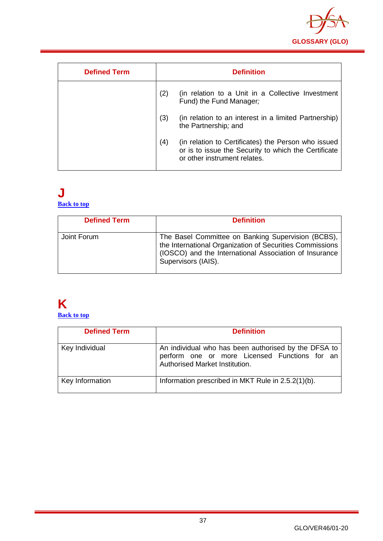

| <b>Defined Term</b> |     | <b>Definition</b>                                                                                                                           |
|---------------------|-----|---------------------------------------------------------------------------------------------------------------------------------------------|
|                     | (2) | (in relation to a Unit in a Collective Investment<br>Fund) the Fund Manager;                                                                |
|                     | (3) | (in relation to an interest in a limited Partnership)<br>the Partnership; and                                                               |
|                     | (4) | (in relation to Certificates) the Person who issued<br>or is to issue the Security to which the Certificate<br>or other instrument relates. |

#### **J [Back to top](#page-1-0)**

| <b>Defined Term</b> | <b>Definition</b>                                                                                                                                                                               |
|---------------------|-------------------------------------------------------------------------------------------------------------------------------------------------------------------------------------------------|
| Joint Forum         | The Basel Committee on Banking Supervision (BCBS),<br>the International Organization of Securities Commissions<br>(IOSCO) and the International Association of Insurance<br>Supervisors (IAIS). |

# **K**

**[Back to top](#page-1-0)**

| <b>Defined Term</b> | <b>Definition</b>                                                                                                                       |
|---------------------|-----------------------------------------------------------------------------------------------------------------------------------------|
| Key Individual      | An individual who has been authorised by the DFSA to<br>perform one or more Licensed Functions for an<br>Authorised Market Institution. |
| Key Information     | Information prescribed in MKT Rule in 2.5.2(1)(b).                                                                                      |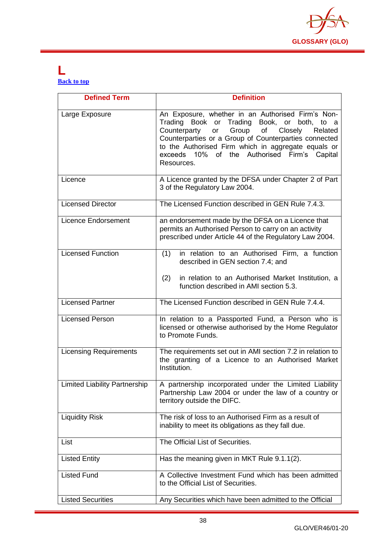

#### **L [Back to top](#page-1-0)**

| <b>Defined Term</b>                  | <b>Definition</b>                                                                                                                                                                                                                                                                                                                         |
|--------------------------------------|-------------------------------------------------------------------------------------------------------------------------------------------------------------------------------------------------------------------------------------------------------------------------------------------------------------------------------------------|
| Large Exposure                       | An Exposure, whether in an Authorised Firm's Non-<br>Trading Book or Trading Book, or both, to a<br>Group of<br>Counterparty<br>Closely<br>Related<br>or<br>Counterparties or a Group of Counterparties connected<br>to the Authorised Firm which in aggregate equals or<br>exceeds 10% of the Authorised Firm's<br>Capital<br>Resources. |
| Licence                              | A Licence granted by the DFSA under Chapter 2 of Part<br>3 of the Regulatory Law 2004.                                                                                                                                                                                                                                                    |
| <b>Licensed Director</b>             | The Licensed Function described in GEN Rule 7.4.3.                                                                                                                                                                                                                                                                                        |
| <b>Licence Endorsement</b>           | an endorsement made by the DFSA on a Licence that<br>permits an Authorised Person to carry on an activity<br>prescribed under Article 44 of the Regulatory Law 2004.                                                                                                                                                                      |
| <b>Licensed Function</b>             | in relation to an Authorised Firm, a function<br>(1)<br>described in GEN section 7.4; and<br>(2)<br>in relation to an Authorised Market Institution, a<br>function described in AMI section 5.3.                                                                                                                                          |
| <b>Licensed Partner</b>              | The Licensed Function described in GEN Rule 7.4.4.                                                                                                                                                                                                                                                                                        |
| <b>Licensed Person</b>               | In relation to a Passported Fund, a Person who is<br>licensed or otherwise authorised by the Home Regulator<br>to Promote Funds.                                                                                                                                                                                                          |
| <b>Licensing Requirements</b>        | The requirements set out in AMI section 7.2 in relation to<br>the granting of a Licence to an Authorised Market<br>Institution.                                                                                                                                                                                                           |
| <b>Limited Liability Partnership</b> | A partnership incorporated under the Limited Liability<br>Partnership Law 2004 or under the law of a country or<br>territory outside the DIFC.                                                                                                                                                                                            |
| <b>Liquidity Risk</b>                | The risk of loss to an Authorised Firm as a result of<br>inability to meet its obligations as they fall due.                                                                                                                                                                                                                              |
| List                                 | The Official List of Securities.                                                                                                                                                                                                                                                                                                          |
| <b>Listed Entity</b>                 | Has the meaning given in MKT Rule 9.1.1(2).                                                                                                                                                                                                                                                                                               |
| <b>Listed Fund</b>                   | A Collective Investment Fund which has been admitted<br>to the Official List of Securities.                                                                                                                                                                                                                                               |
| <b>Listed Securities</b>             | Any Securities which have been admitted to the Official                                                                                                                                                                                                                                                                                   |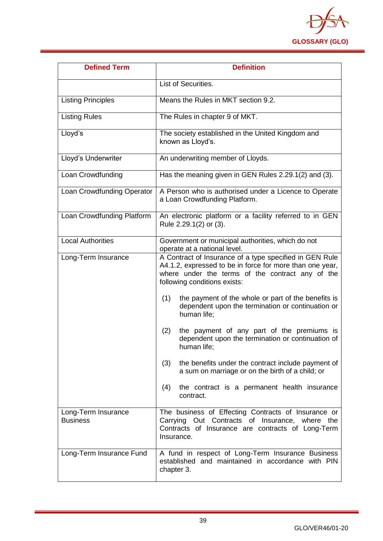

| <b>Defined Term</b>                    | <b>Definition</b>                                                                                                                                                                                       |
|----------------------------------------|---------------------------------------------------------------------------------------------------------------------------------------------------------------------------------------------------------|
|                                        | List of Securities.                                                                                                                                                                                     |
| <b>Listing Principles</b>              | Means the Rules in MKT section 9.2.                                                                                                                                                                     |
| <b>Listing Rules</b>                   | The Rules in chapter 9 of MKT.                                                                                                                                                                          |
| Lloyd's                                | The society established in the United Kingdom and<br>known as Lloyd's.                                                                                                                                  |
| Lloyd's Underwriter                    | An underwriting member of Lloyds.                                                                                                                                                                       |
| Loan Crowdfunding                      | Has the meaning given in GEN Rules 2.29.1(2) and (3).                                                                                                                                                   |
| Loan Crowdfunding Operator             | A Person who is authorised under a Licence to Operate<br>a Loan Crowdfunding Platform.                                                                                                                  |
| Loan Crowdfunding Platform             | An electronic platform or a facility referred to in GEN<br>Rule 2.29.1(2) or (3).                                                                                                                       |
| <b>Local Authorities</b>               | Government or municipal authorities, which do not<br>operate at a national level.                                                                                                                       |
| Long-Term Insurance                    | A Contract of Insurance of a type specified in GEN Rule<br>A4.1.2, expressed to be in force for more than one year,<br>where under the terms of the contract any of the<br>following conditions exists: |
|                                        | the payment of the whole or part of the benefits is<br>(1)<br>dependent upon the termination or continuation or<br>human life;                                                                          |
|                                        | the payment of any part of the premiums is<br>(2)<br>dependent upon the termination or continuation of<br>human life;                                                                                   |
|                                        | (3)<br>the benefits under the contract include payment of<br>a sum on marriage or on the birth of a child; or                                                                                           |
|                                        | the contract is a permanent health insurance<br>(4)<br>contract.                                                                                                                                        |
| Long-Term Insurance<br><b>Business</b> | The business of Effecting Contracts of Insurance or<br>Carrying Out Contracts of Insurance, where<br>the<br>Contracts of Insurance are contracts of Long-Term<br>Insurance.                             |
| Long-Term Insurance Fund               | A fund in respect of Long-Term Insurance Business<br>established and maintained in accordance with PIN<br>chapter 3.                                                                                    |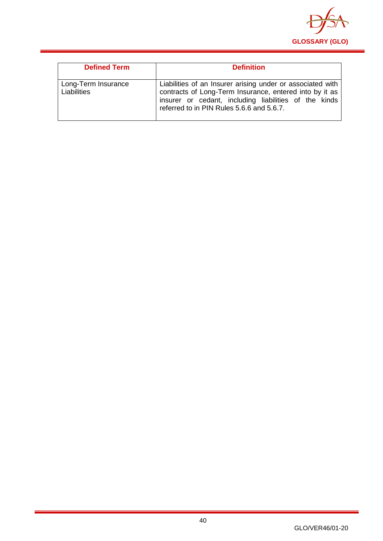

| <b>Defined Term</b>                | <b>Definition</b>                                                                                                                                                                                                           |
|------------------------------------|-----------------------------------------------------------------------------------------------------------------------------------------------------------------------------------------------------------------------------|
| Long-Term Insurance<br>Liabilities | Liabilities of an Insurer arising under or associated with<br>contracts of Long-Term Insurance, entered into by it as<br>insurer or cedant, including liabilities of the kinds<br>referred to in PIN Rules 5.6.6 and 5.6.7. |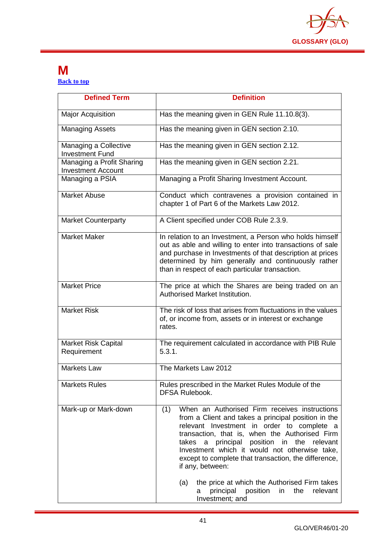

#### **M [Back to top](#page-1-0)**

| <b>Defined Term</b>                                    | <b>Definition</b>                                                                                                                                                                                                                                                                                                                                                                                                                                                                                                          |
|--------------------------------------------------------|----------------------------------------------------------------------------------------------------------------------------------------------------------------------------------------------------------------------------------------------------------------------------------------------------------------------------------------------------------------------------------------------------------------------------------------------------------------------------------------------------------------------------|
| <b>Major Acquisition</b>                               | Has the meaning given in GEN Rule 11.10.8(3).                                                                                                                                                                                                                                                                                                                                                                                                                                                                              |
| <b>Managing Assets</b>                                 | Has the meaning given in GEN section 2.10.                                                                                                                                                                                                                                                                                                                                                                                                                                                                                 |
| Managing a Collective<br><b>Investment Fund</b>        | Has the meaning given in GEN section 2.12.                                                                                                                                                                                                                                                                                                                                                                                                                                                                                 |
| Managing a Profit Sharing<br><b>Investment Account</b> | Has the meaning given in GEN section 2.21.                                                                                                                                                                                                                                                                                                                                                                                                                                                                                 |
| Managing a PSIA                                        | Managing a Profit Sharing Investment Account.                                                                                                                                                                                                                                                                                                                                                                                                                                                                              |
| <b>Market Abuse</b>                                    | Conduct which contravenes a provision contained in<br>chapter 1 of Part 6 of the Markets Law 2012.                                                                                                                                                                                                                                                                                                                                                                                                                         |
| <b>Market Counterparty</b>                             | A Client specified under COB Rule 2.3.9.                                                                                                                                                                                                                                                                                                                                                                                                                                                                                   |
| <b>Market Maker</b>                                    | In relation to an Investment, a Person who holds himself<br>out as able and willing to enter into transactions of sale<br>and purchase in Investments of that description at prices<br>determined by him generally and continuously rather<br>than in respect of each particular transaction.                                                                                                                                                                                                                              |
| <b>Market Price</b>                                    | The price at which the Shares are being traded on an<br>Authorised Market Institution.                                                                                                                                                                                                                                                                                                                                                                                                                                     |
| <b>Market Risk</b>                                     | The risk of loss that arises from fluctuations in the values<br>of, or income from, assets or in interest or exchange<br>rates.                                                                                                                                                                                                                                                                                                                                                                                            |
| <b>Market Risk Capital</b><br>Requirement              | The requirement calculated in accordance with PIB Rule<br>5.3.1.                                                                                                                                                                                                                                                                                                                                                                                                                                                           |
| <b>Markets Law</b>                                     | The Markets Law 2012                                                                                                                                                                                                                                                                                                                                                                                                                                                                                                       |
| <b>Markets Rules</b>                                   | Rules prescribed in the Market Rules Module of the<br><b>DFSA Rulebook.</b>                                                                                                                                                                                                                                                                                                                                                                                                                                                |
| Mark-up or Mark-down                                   | When an Authorised Firm receives instructions<br>(1)<br>from a Client and takes a principal position in the<br>relevant Investment in order to complete a<br>transaction, that is, when the Authorised Firm<br>a principal position in the relevant<br>takes<br>Investment which it would not otherwise take,<br>except to complete that transaction, the difference,<br>if any, between:<br>the price at which the Authorised Firm takes<br>(a)<br>principal<br>position<br>relevant<br>in<br>the<br>a<br>Investment; and |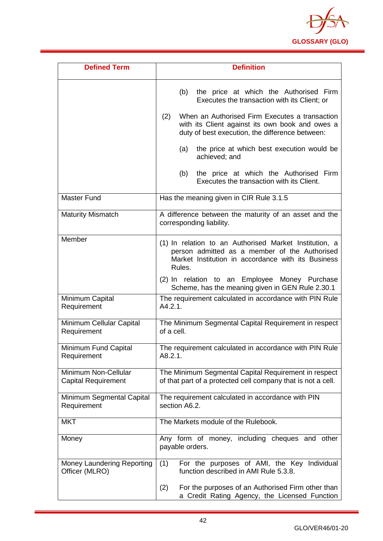

| <b>Defined Term</b>                                | <b>Definition</b>                                                                                                                                                                                                                                                                                                                                                                                                                |
|----------------------------------------------------|----------------------------------------------------------------------------------------------------------------------------------------------------------------------------------------------------------------------------------------------------------------------------------------------------------------------------------------------------------------------------------------------------------------------------------|
|                                                    | the price at which the Authorised Firm<br>(b)<br>Executes the transaction with its Client; or<br>When an Authorised Firm Executes a transaction<br>(2)<br>with its Client against its own book and owes a<br>duty of best execution, the difference between:<br>the price at which best execution would be<br>(a)<br>achieved; and<br>the price at which the Authorised Firm<br>(b)<br>Executes the transaction with its Client. |
| <b>Master Fund</b>                                 | Has the meaning given in CIR Rule 3.1.5                                                                                                                                                                                                                                                                                                                                                                                          |
| <b>Maturity Mismatch</b>                           | A difference between the maturity of an asset and the<br>corresponding liability.                                                                                                                                                                                                                                                                                                                                                |
| Member                                             | (1) In relation to an Authorised Market Institution, a<br>person admitted as a member of the Authorised<br>Market Institution in accordance with its Business<br>Rules.<br>(2) In relation to an Employee Money Purchase<br>Scheme, has the meaning given in GEN Rule 2.30.1                                                                                                                                                     |
| Minimum Capital<br>Requirement                     | The requirement calculated in accordance with PIN Rule<br>A4.2.1.                                                                                                                                                                                                                                                                                                                                                                |
| Minimum Cellular Capital<br>Requirement            | The Minimum Segmental Capital Requirement in respect<br>of a cell.                                                                                                                                                                                                                                                                                                                                                               |
| Minimum Fund Capital<br>Requirement                | The requirement calculated in accordance with PIN Rule<br>A8.2.1.                                                                                                                                                                                                                                                                                                                                                                |
| Minimum Non-Cellular<br><b>Capital Requirement</b> | The Minimum Segmental Capital Requirement in respect<br>of that part of a protected cell company that is not a cell.                                                                                                                                                                                                                                                                                                             |
| Minimum Segmental Capital<br>Requirement           | The requirement calculated in accordance with PIN<br>section A6.2.                                                                                                                                                                                                                                                                                                                                                               |
| <b>MKT</b>                                         | The Markets module of the Rulebook.                                                                                                                                                                                                                                                                                                                                                                                              |
| Money                                              | Any form of money, including cheques and other<br>payable orders.                                                                                                                                                                                                                                                                                                                                                                |
| Money Laundering Reporting<br>Officer (MLRO)       | (1)<br>For the purposes of AMI, the Key Individual<br>function described in AMI Rule 5.3.8.                                                                                                                                                                                                                                                                                                                                      |
|                                                    | For the purposes of an Authorised Firm other than<br>(2)<br>a Credit Rating Agency, the Licensed Function                                                                                                                                                                                                                                                                                                                        |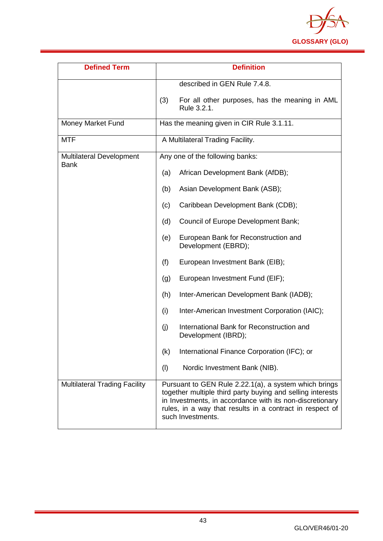

| <b>Defined Term</b>                            | <b>Definition</b>                                                                                                                                                                                                                                                |
|------------------------------------------------|------------------------------------------------------------------------------------------------------------------------------------------------------------------------------------------------------------------------------------------------------------------|
|                                                | described in GEN Rule 7.4.8.                                                                                                                                                                                                                                     |
|                                                | For all other purposes, has the meaning in AML<br>(3)<br>Rule 3.2.1.                                                                                                                                                                                             |
| Money Market Fund                              | Has the meaning given in CIR Rule 3.1.11.                                                                                                                                                                                                                        |
| <b>MTF</b>                                     | A Multilateral Trading Facility.                                                                                                                                                                                                                                 |
| <b>Multilateral Development</b><br><b>Bank</b> | Any one of the following banks:                                                                                                                                                                                                                                  |
|                                                | African Development Bank (AfDB);<br>(a)                                                                                                                                                                                                                          |
|                                                | Asian Development Bank (ASB);<br>(b)                                                                                                                                                                                                                             |
|                                                | Caribbean Development Bank (CDB);<br>(c)                                                                                                                                                                                                                         |
|                                                | Council of Europe Development Bank;<br>(d)                                                                                                                                                                                                                       |
|                                                | European Bank for Reconstruction and<br>(e)<br>Development (EBRD);                                                                                                                                                                                               |
|                                                | (f)<br>European Investment Bank (EIB);                                                                                                                                                                                                                           |
|                                                | European Investment Fund (EIF);<br>(g)                                                                                                                                                                                                                           |
|                                                | Inter-American Development Bank (IADB);<br>(h)                                                                                                                                                                                                                   |
|                                                | Inter-American Investment Corporation (IAIC);<br>(i)                                                                                                                                                                                                             |
|                                                | International Bank for Reconstruction and<br>(i)<br>Development (IBRD);                                                                                                                                                                                          |
|                                                | International Finance Corporation (IFC); or<br>(k)                                                                                                                                                                                                               |
|                                                | (1)<br>Nordic Investment Bank (NIB).                                                                                                                                                                                                                             |
| <b>Multilateral Trading Facility</b>           | Pursuant to GEN Rule 2.22.1(a), a system which brings<br>together multiple third party buying and selling interests<br>in Investments, in accordance with its non-discretionary<br>rules, in a way that results in a contract in respect of<br>such Investments. |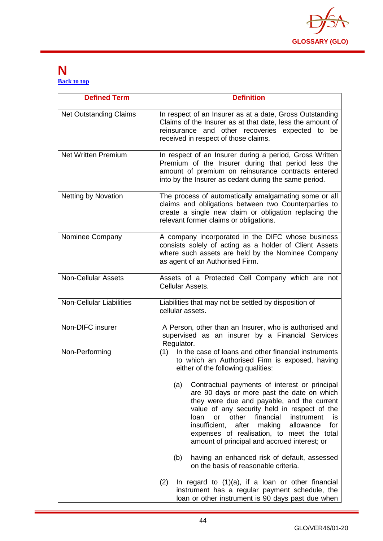

#### **N [Back to top](#page-1-0)**

| <b>Defined Term</b>             | <b>Definition</b>                                                                                                                                                                                                                                                                                                                                                                                              |
|---------------------------------|----------------------------------------------------------------------------------------------------------------------------------------------------------------------------------------------------------------------------------------------------------------------------------------------------------------------------------------------------------------------------------------------------------------|
| <b>Net Outstanding Claims</b>   | In respect of an Insurer as at a date, Gross Outstanding<br>Claims of the Insurer as at that date, less the amount of<br>reinsurance and other recoveries expected to be<br>received in respect of those claims.                                                                                                                                                                                               |
| <b>Net Written Premium</b>      | In respect of an Insurer during a period, Gross Written<br>Premium of the Insurer during that period less the<br>amount of premium on reinsurance contracts entered<br>into by the Insurer as cedant during the same period.                                                                                                                                                                                   |
| <b>Netting by Novation</b>      | The process of automatically amalgamating some or all<br>claims and obligations between two Counterparties to<br>create a single new claim or obligation replacing the<br>relevant former claims or obligations.                                                                                                                                                                                               |
| Nominee Company                 | A company incorporated in the DIFC whose business<br>consists solely of acting as a holder of Client Assets<br>where such assets are held by the Nominee Company<br>as agent of an Authorised Firm.                                                                                                                                                                                                            |
| <b>Non-Cellular Assets</b>      | Assets of a Protected Cell Company which are not<br>Cellular Assets.                                                                                                                                                                                                                                                                                                                                           |
| <b>Non-Cellular Liabilities</b> | Liabilities that may not be settled by disposition of<br>cellular assets.                                                                                                                                                                                                                                                                                                                                      |
| Non-DIFC insurer                | A Person, other than an Insurer, who is authorised and<br>supervised as an insurer by a Financial Services<br>Regulator.                                                                                                                                                                                                                                                                                       |
| Non-Performing                  | (1) In the case of loans and other financial instruments<br>to which an Authorised Firm is exposed, having<br>either of the following qualities:                                                                                                                                                                                                                                                               |
|                                 | (a)<br>Contractual payments of interest or principal<br>are 90 days or more past the date on which<br>they were due and payable, and the current<br>value of any security held in respect of the<br>other<br>financial<br>loan<br>or<br>instrument<br>is<br>insufficient,<br>after<br>for<br>making<br>allowance<br>expenses of realisation, to meet the total<br>amount of principal and accrued interest; or |
|                                 | (b)<br>having an enhanced risk of default, assessed<br>on the basis of reasonable criteria.                                                                                                                                                                                                                                                                                                                    |
|                                 | (2)<br>In regard to (1)(a), if a loan or other financial<br>instrument has a regular payment schedule, the<br>loan or other instrument is 90 days past due when                                                                                                                                                                                                                                                |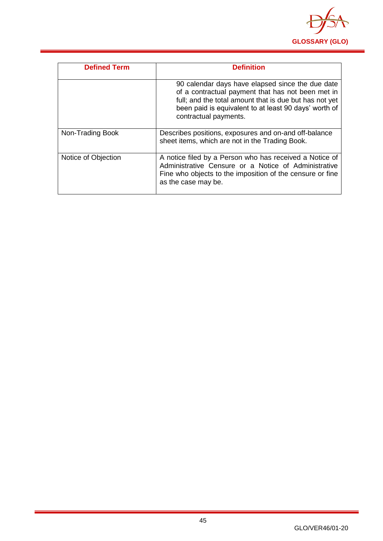

| <b>Defined Term</b> | <b>Definition</b>                                                                                                                                                                                                                                 |
|---------------------|---------------------------------------------------------------------------------------------------------------------------------------------------------------------------------------------------------------------------------------------------|
|                     | 90 calendar days have elapsed since the due date<br>of a contractual payment that has not been met in<br>full; and the total amount that is due but has not yet<br>been paid is equivalent to at least 90 days' worth of<br>contractual payments. |
| Non-Trading Book    | Describes positions, exposures and on-and off-balance<br>sheet items, which are not in the Trading Book.                                                                                                                                          |
| Notice of Objection | A notice filed by a Person who has received a Notice of<br>Administrative Censure or a Notice of Administrative<br>Fine who objects to the imposition of the censure or fine<br>as the case may be.                                               |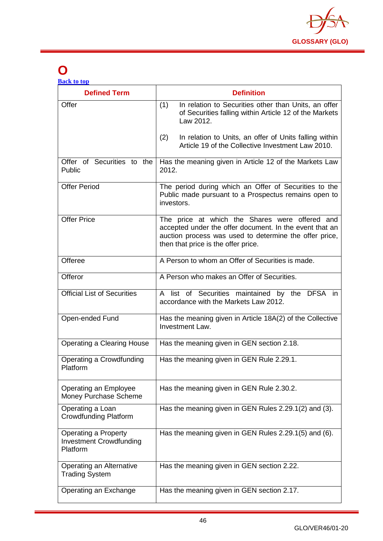

## **O**

| <b>Back to top</b>  |     |                                                                                                                             |
|---------------------|-----|-----------------------------------------------------------------------------------------------------------------------------|
| <b>Defined Term</b> |     | <b>Definition</b>                                                                                                           |
| Offer               | (1) | In relation to Securities other than Units, an offer<br>of Securities falling within Article 12 of the Markets<br>Law 2012. |
|                     | (2) | In relation to Units, an offer of Units falling within<br>Article 19 of the Collective Investment Law 2010.                 |

|                                                                           | LAW ZUTZ.                                                                                                                                                                                                  |
|---------------------------------------------------------------------------|------------------------------------------------------------------------------------------------------------------------------------------------------------------------------------------------------------|
|                                                                           | In relation to Units, an offer of Units falling within<br>(2)<br>Article 19 of the Collective Investment Law 2010.                                                                                         |
| Offer of Securities to the<br>Public                                      | Has the meaning given in Article 12 of the Markets Law<br>2012.                                                                                                                                            |
| <b>Offer Period</b>                                                       | The period during which an Offer of Securities to the<br>Public made pursuant to a Prospectus remains open to<br>investors.                                                                                |
| <b>Offer Price</b>                                                        | The price at which the Shares were offered and<br>accepted under the offer document. In the event that an<br>auction process was used to determine the offer price,<br>then that price is the offer price. |
| Offeree                                                                   | A Person to whom an Offer of Securities is made.                                                                                                                                                           |
| Offeror                                                                   | A Person who makes an Offer of Securities.                                                                                                                                                                 |
| <b>Official List of Securities</b>                                        | A list of Securities maintained by the DFSA in<br>accordance with the Markets Law 2012.                                                                                                                    |
| Open-ended Fund                                                           | Has the meaning given in Article 18A(2) of the Collective<br>Investment Law.                                                                                                                               |
| <b>Operating a Clearing House</b>                                         | Has the meaning given in GEN section 2.18.                                                                                                                                                                 |
| Operating a Crowdfunding<br>Platform                                      | Has the meaning given in GEN Rule 2.29.1.                                                                                                                                                                  |
| Operating an Employee<br>Money Purchase Scheme                            | Has the meaning given in GEN Rule 2.30.2.                                                                                                                                                                  |
| Operating a Loan<br><b>Crowdfunding Platform</b>                          | Has the meaning given in GEN Rules 2.29.1(2) and (3).                                                                                                                                                      |
| <b>Operating a Property</b><br><b>Investment Crowdfunding</b><br>Platform | Has the meaning given in GEN Rules 2.29.1(5) and (6).                                                                                                                                                      |
| Operating an Alternative<br><b>Trading System</b>                         | Has the meaning given in GEN section 2.22.                                                                                                                                                                 |
| Operating an Exchange                                                     | Has the meaning given in GEN section 2.17.                                                                                                                                                                 |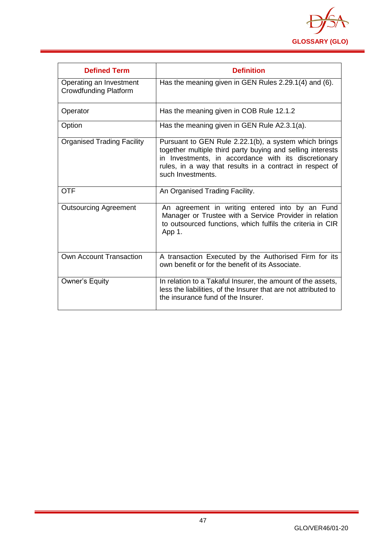

| <b>Defined Term</b>                                     | <b>Definition</b>                                                                                                                                                                                                                                            |
|---------------------------------------------------------|--------------------------------------------------------------------------------------------------------------------------------------------------------------------------------------------------------------------------------------------------------------|
| Operating an Investment<br><b>Crowdfunding Platform</b> | Has the meaning given in GEN Rules 2.29.1(4) and (6).                                                                                                                                                                                                        |
| Operator                                                | Has the meaning given in COB Rule 12.1.2                                                                                                                                                                                                                     |
| Option                                                  | Has the meaning given in GEN Rule A2.3.1(a).                                                                                                                                                                                                                 |
| <b>Organised Trading Facility</b>                       | Pursuant to GEN Rule 2.22.1(b), a system which brings<br>together multiple third party buying and selling interests<br>in Investments, in accordance with its discretionary<br>rules, in a way that results in a contract in respect of<br>such Investments. |
| <b>OTF</b>                                              | An Organised Trading Facility.                                                                                                                                                                                                                               |
| <b>Outsourcing Agreement</b>                            | An agreement in writing entered into by an Fund<br>Manager or Trustee with a Service Provider in relation<br>to outsourced functions, which fulfils the criteria in CIR<br>App 1.                                                                            |
| <b>Own Account Transaction</b>                          | A transaction Executed by the Authorised Firm for its<br>own benefit or for the benefit of its Associate.                                                                                                                                                    |
| <b>Owner's Equity</b>                                   | In relation to a Takaful Insurer, the amount of the assets,<br>less the liabilities, of the Insurer that are not attributed to<br>the insurance fund of the Insurer.                                                                                         |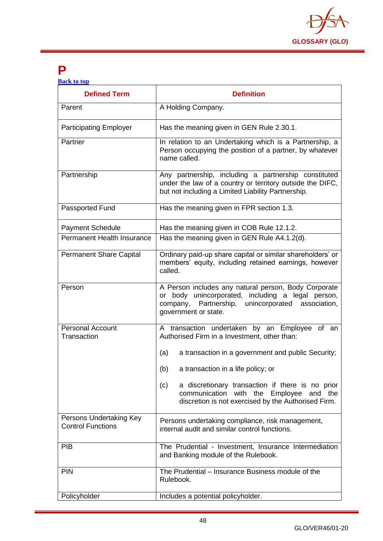

### **P**

| <b>Back to top</b> |  |  |
|--------------------|--|--|
|                    |  |  |
|                    |  |  |

| <b>Defined Term</b>                                 | <b>Definition</b>                                                                                                                                                                      |
|-----------------------------------------------------|----------------------------------------------------------------------------------------------------------------------------------------------------------------------------------------|
| Parent                                              | A Holding Company.                                                                                                                                                                     |
| <b>Participating Employer</b>                       | Has the meaning given in GEN Rule 2.30.1.                                                                                                                                              |
| Partner                                             | In relation to an Undertaking which is a Partnership, a<br>Person occupying the position of a partner, by whatever<br>name called.                                                     |
| Partnership                                         | Any partnership, including a partnership constituted<br>under the law of a country or territory outside the DIFC,<br>but not including a Limited Liability Partnership.                |
| Passported Fund                                     | Has the meaning given in FPR section 1.3.                                                                                                                                              |
| <b>Payment Schedule</b>                             | Has the meaning given in COB Rule 12.1.2.                                                                                                                                              |
| Permanent Health Insurance                          | Has the meaning given in GEN Rule A4.1.2(d).                                                                                                                                           |
| <b>Permanent Share Capital</b>                      | Ordinary paid-up share capital or similar shareholders' or<br>members' equity, including retained earnings, however<br>called.                                                         |
| Person                                              | A Person includes any natural person, Body Corporate<br>or body unincorporated, including a legal person,<br>company, Partnership, unincorporated association,<br>government or state. |
| <b>Personal Account</b><br>Transaction              | A transaction undertaken by an Employee of an<br>Authorised Firm in a Investment, other than:                                                                                          |
|                                                     | a transaction in a government and public Security;<br>(a)                                                                                                                              |
|                                                     | (b)<br>a transaction in a life policy; or                                                                                                                                              |
|                                                     | a discretionary transaction if there is no prior<br>(c)<br>communication with the Employee and the<br>discretion is not exercised by the Authorised Firm.                              |
| Persons Undertaking Key<br><b>Control Functions</b> | Persons undertaking compliance, risk management,<br>internal audit and similar control functions.                                                                                      |
| <b>PIB</b>                                          | The Prudential - Investment, Insurance Intermediation<br>and Banking module of the Rulebook.                                                                                           |
| <b>PIN</b>                                          | The Prudential - Insurance Business module of the<br>Rulebook.                                                                                                                         |
| Policyholder                                        | Includes a potential policyholder.                                                                                                                                                     |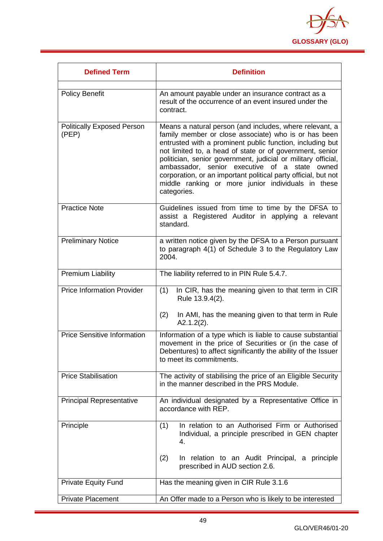

| <b>Defined Term</b>                        | <b>Definition</b>                                                                                                                                                                                                                                                                                                                                                                                                                                                                                 |
|--------------------------------------------|---------------------------------------------------------------------------------------------------------------------------------------------------------------------------------------------------------------------------------------------------------------------------------------------------------------------------------------------------------------------------------------------------------------------------------------------------------------------------------------------------|
| <b>Policy Benefit</b>                      | An amount payable under an insurance contract as a<br>result of the occurrence of an event insured under the<br>contract.                                                                                                                                                                                                                                                                                                                                                                         |
| <b>Politically Exposed Person</b><br>(PEP) | Means a natural person (and includes, where relevant, a<br>family member or close associate) who is or has been<br>entrusted with a prominent public function, including but<br>not limited to, a head of state or of government, senior<br>politician, senior government, judicial or military official,<br>ambassador, senior executive of a state owned<br>corporation, or an important political party official, but not<br>middle ranking or more junior individuals in these<br>categories. |
| <b>Practice Note</b>                       | Guidelines issued from time to time by the DFSA to<br>assist a Registered Auditor in applying a relevant<br>standard.                                                                                                                                                                                                                                                                                                                                                                             |
| <b>Preliminary Notice</b>                  | a written notice given by the DFSA to a Person pursuant<br>to paragraph 4(1) of Schedule 3 to the Regulatory Law<br>2004.                                                                                                                                                                                                                                                                                                                                                                         |
| <b>Premium Liability</b>                   | The liability referred to in PIN Rule 5.4.7.                                                                                                                                                                                                                                                                                                                                                                                                                                                      |
| <b>Price Information Provider</b>          | (1)<br>In CIR, has the meaning given to that term in CIR<br>Rule 13.9.4(2).<br>(2)<br>In AMI, has the meaning given to that term in Rule<br>$A2.1.2(2)$ .                                                                                                                                                                                                                                                                                                                                         |
| <b>Price Sensitive Information</b>         | Information of a type which is liable to cause substantial<br>movement in the price of Securities or (in the case of<br>Debentures) to affect significantly the ability of the Issuer<br>to meet its commitments.                                                                                                                                                                                                                                                                                 |
| <b>Price Stabilisation</b>                 | The activity of stabilising the price of an Eligible Security<br>in the manner described in the PRS Module.                                                                                                                                                                                                                                                                                                                                                                                       |
| <b>Principal Representative</b>            | An individual designated by a Representative Office in<br>accordance with REP.                                                                                                                                                                                                                                                                                                                                                                                                                    |
| Principle                                  | In relation to an Authorised Firm or Authorised<br>(1)<br>Individual, a principle prescribed in GEN chapter<br>4.<br>(2)<br>In relation to an Audit Principal, a principle<br>prescribed in AUD section 2.6.                                                                                                                                                                                                                                                                                      |
| <b>Private Equity Fund</b>                 | Has the meaning given in CIR Rule 3.1.6                                                                                                                                                                                                                                                                                                                                                                                                                                                           |
| <b>Private Placement</b>                   | An Offer made to a Person who is likely to be interested                                                                                                                                                                                                                                                                                                                                                                                                                                          |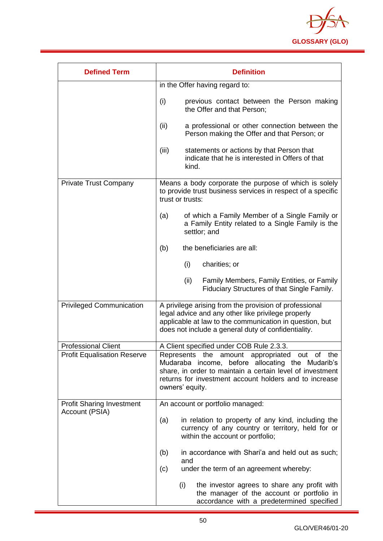

| <b>Defined Term</b>                                | <b>Definition</b>                                                                                                                                                                                                                           |  |
|----------------------------------------------------|---------------------------------------------------------------------------------------------------------------------------------------------------------------------------------------------------------------------------------------------|--|
|                                                    | in the Offer having regard to:                                                                                                                                                                                                              |  |
|                                                    | (i)<br>previous contact between the Person making<br>the Offer and that Person;                                                                                                                                                             |  |
|                                                    | (ii)<br>a professional or other connection between the<br>Person making the Offer and that Person; or                                                                                                                                       |  |
|                                                    | (iii)<br>statements or actions by that Person that<br>indicate that he is interested in Offers of that<br>kind.                                                                                                                             |  |
| <b>Private Trust Company</b>                       | Means a body corporate the purpose of which is solely<br>to provide trust business services in respect of a specific<br>trust or trusts:                                                                                                    |  |
|                                                    | of which a Family Member of a Single Family or<br>(a)<br>a Family Entity related to a Single Family is the<br>settlor; and                                                                                                                  |  |
|                                                    | the beneficiaries are all:<br>(b)                                                                                                                                                                                                           |  |
|                                                    | charities; or<br>(i)                                                                                                                                                                                                                        |  |
|                                                    | (ii)<br>Family Members, Family Entities, or Family<br>Fiduciary Structures of that Single Family.                                                                                                                                           |  |
| <b>Privileged Communication</b>                    | A privilege arising from the provision of professional<br>legal advice and any other like privilege properly<br>applicable at law to the communication in question, but<br>does not include a general duty of confidentiality.              |  |
| <b>Professional Client</b>                         | A Client specified under COB Rule 2.3.3.                                                                                                                                                                                                    |  |
| <b>Profit Equalisation Reserve</b>                 | Represents the amount appropriated out of the<br>Mudaraba income, before allocating the Mudarib's<br>share, in order to maintain a certain level of investment<br>returns for investment account holders and to increase<br>owners' equity. |  |
| <b>Profit Sharing Investment</b><br>Account (PSIA) | An account or portfolio managed:                                                                                                                                                                                                            |  |
|                                                    | in relation to property of any kind, including the<br>(a)<br>currency of any country or territory, held for or<br>within the account or portfolio;                                                                                          |  |
|                                                    | in accordance with Shari'a and held out as such;<br>(b)<br>and                                                                                                                                                                              |  |
|                                                    | under the term of an agreement whereby:<br>(c)                                                                                                                                                                                              |  |
|                                                    | (i)<br>the investor agrees to share any profit with<br>the manager of the account or portfolio in<br>accordance with a predetermined specified                                                                                              |  |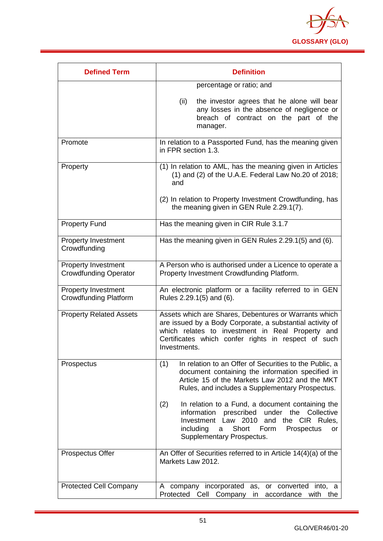

| <b>Defined Term</b>                                        | <b>Definition</b>                                                                                                                                                                                                                             |
|------------------------------------------------------------|-----------------------------------------------------------------------------------------------------------------------------------------------------------------------------------------------------------------------------------------------|
|                                                            | percentage or ratio; and                                                                                                                                                                                                                      |
|                                                            | the investor agrees that he alone will bear<br>(ii)<br>any losses in the absence of negligence or<br>breach of contract on the part of the<br>manager.                                                                                        |
| Promote                                                    | In relation to a Passported Fund, has the meaning given<br>in FPR section 1.3.                                                                                                                                                                |
| Property                                                   | (1) In relation to AML, has the meaning given in Articles<br>$(1)$ and $(2)$ of the U.A.E. Federal Law No.20 of 2018;<br>and                                                                                                                  |
|                                                            | (2) In relation to Property Investment Crowdfunding, has<br>the meaning given in GEN Rule 2.29.1(7).                                                                                                                                          |
| <b>Property Fund</b>                                       | Has the meaning given in CIR Rule 3.1.7                                                                                                                                                                                                       |
| <b>Property Investment</b><br>Crowdfunding                 | Has the meaning given in GEN Rules 2.29.1(5) and (6).                                                                                                                                                                                         |
| <b>Property Investment</b><br><b>Crowdfunding Operator</b> | A Person who is authorised under a Licence to operate a<br>Property Investment Crowdfunding Platform.                                                                                                                                         |
| <b>Property Investment</b><br><b>Crowdfunding Platform</b> | An electronic platform or a facility referred to in GEN<br>Rules 2.29.1(5) and (6).                                                                                                                                                           |
| <b>Property Related Assets</b>                             | Assets which are Shares, Debentures or Warrants which<br>are issued by a Body Corporate, a substantial activity of<br>which relates to investment in Real Property and<br>Certificates which confer rights in respect of such<br>Investments. |
| Prospectus                                                 | In relation to an Offer of Securities to the Public, a<br>(1)<br>document containing the information specified in<br>Article 15 of the Markets Law 2012 and the MKT<br>Rules, and includes a Supplementary Prospectus.                        |
|                                                            | In relation to a Fund, a document containing the<br>(2)<br>prescribed under the Collective<br>information<br>Investment Law 2010<br>and the CIR Rules.<br>Short<br>including<br>Form<br>Prospectus<br>a<br>or<br>Supplementary Prospectus.    |
| <b>Prospectus Offer</b>                                    | An Offer of Securities referred to in Article 14(4)(a) of the<br>Markets Law 2012.                                                                                                                                                            |
| <b>Protected Cell Company</b>                              | A company incorporated as,<br>or converted into, a<br>Protected Cell Company<br>in<br>accordance<br>with<br>the                                                                                                                               |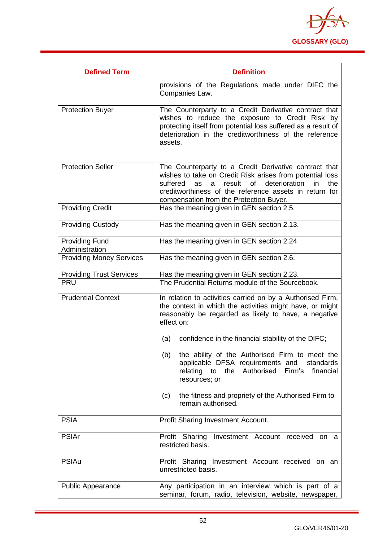

| <b>Defined Term</b>                     | <b>Definition</b>                                                                                                                                                                                                                                                                     |  |  |
|-----------------------------------------|---------------------------------------------------------------------------------------------------------------------------------------------------------------------------------------------------------------------------------------------------------------------------------------|--|--|
|                                         | provisions of the Regulations made under DIFC the<br>Companies Law.                                                                                                                                                                                                                   |  |  |
| <b>Protection Buyer</b>                 | The Counterparty to a Credit Derivative contract that<br>wishes to reduce the exposure to Credit Risk by<br>protecting itself from potential loss suffered as a result of<br>deterioration in the creditworthiness of the reference<br>assets.                                        |  |  |
| <b>Protection Seller</b>                | The Counterparty to a Credit Derivative contract that<br>wishes to take on Credit Risk arises from potential loss<br>result of deterioration<br>suffered<br>in<br>the<br>as<br>a<br>creditworthiness of the reference assets in return for<br>compensation from the Protection Buyer. |  |  |
| <b>Providing Credit</b>                 | Has the meaning given in GEN section 2.5.                                                                                                                                                                                                                                             |  |  |
| <b>Providing Custody</b>                | Has the meaning given in GEN section 2.13.                                                                                                                                                                                                                                            |  |  |
| <b>Providing Fund</b><br>Administration | Has the meaning given in GEN section 2.24                                                                                                                                                                                                                                             |  |  |
| <b>Providing Money Services</b>         | Has the meaning given in GEN section 2.6.                                                                                                                                                                                                                                             |  |  |
| <b>Providing Trust Services</b>         | Has the meaning given in GEN section 2.23.                                                                                                                                                                                                                                            |  |  |
| <b>PRU</b>                              | The Prudential Returns module of the Sourcebook.                                                                                                                                                                                                                                      |  |  |
| <b>Prudential Context</b>               | In relation to activities carried on by a Authorised Firm,<br>the context in which the activities might have, or might<br>reasonably be regarded as likely to have, a negative<br>effect on:                                                                                          |  |  |
|                                         | confidence in the financial stability of the DIFC;<br>(a)                                                                                                                                                                                                                             |  |  |
|                                         | the ability of the Authorised Firm to meet the<br>(b)<br>applicable DFSA requirements and<br>standards<br>Firm's<br>relating to the Authorised<br>financial<br>resources; or                                                                                                          |  |  |
|                                         | the fitness and propriety of the Authorised Firm to<br>(c)<br>remain authorised.                                                                                                                                                                                                      |  |  |
| <b>PSIA</b>                             | <b>Profit Sharing Investment Account.</b>                                                                                                                                                                                                                                             |  |  |
| <b>PSIAr</b>                            | Profit Sharing Investment Account received on a<br>restricted basis.                                                                                                                                                                                                                  |  |  |
| <b>PSIAu</b>                            | Profit Sharing Investment Account received on an<br>unrestricted basis.                                                                                                                                                                                                               |  |  |
| <b>Public Appearance</b>                | Any participation in an interview which is part of a<br>seminar, forum, radio, television, website, newspaper,                                                                                                                                                                        |  |  |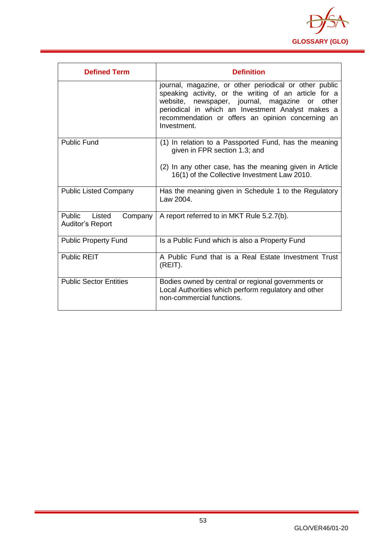

| <b>Defined Term</b>                                    | <b>Definition</b>                                                                                                                                                                                                                                                                                |
|--------------------------------------------------------|--------------------------------------------------------------------------------------------------------------------------------------------------------------------------------------------------------------------------------------------------------------------------------------------------|
|                                                        | journal, magazine, or other periodical or other public<br>speaking activity, or the writing of an article for a<br>website,<br>newspaper, journal, magazine or<br>other<br>periodical in which an Investment Analyst makes a<br>recommendation or offers an opinion concerning an<br>Investment. |
| <b>Public Fund</b>                                     | (1) In relation to a Passported Fund, has the meaning<br>given in FPR section 1.3; and                                                                                                                                                                                                           |
|                                                        | (2) In any other case, has the meaning given in Article<br>16(1) of the Collective Investment Law 2010.                                                                                                                                                                                          |
| <b>Public Listed Company</b>                           | Has the meaning given in Schedule 1 to the Regulatory<br>Law 2004.                                                                                                                                                                                                                               |
| Public<br>Listed<br>Company<br><b>Auditor's Report</b> | A report referred to in MKT Rule 5.2.7(b).                                                                                                                                                                                                                                                       |
| <b>Public Property Fund</b>                            | Is a Public Fund which is also a Property Fund                                                                                                                                                                                                                                                   |
| <b>Public REIT</b>                                     | A Public Fund that is a Real Estate Investment Trust<br>(REIT).                                                                                                                                                                                                                                  |
| <b>Public Sector Entities</b>                          | Bodies owned by central or regional governments or<br>Local Authorities which perform regulatory and other<br>non-commercial functions.                                                                                                                                                          |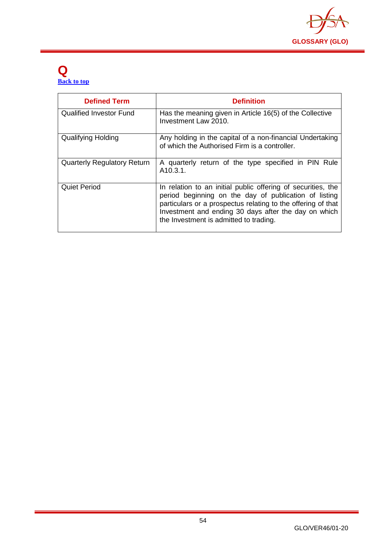

#### **Q [Back to top](#page-1-0)**

| <b>Defined Term</b>                | <b>Definition</b>                                                                                                                                                                                                                                                                       |
|------------------------------------|-----------------------------------------------------------------------------------------------------------------------------------------------------------------------------------------------------------------------------------------------------------------------------------------|
| <b>Qualified Investor Fund</b>     | Has the meaning given in Article 16(5) of the Collective<br>Investment Law 2010.                                                                                                                                                                                                        |
| <b>Qualifying Holding</b>          | Any holding in the capital of a non-financial Undertaking<br>of which the Authorised Firm is a controller.                                                                                                                                                                              |
| <b>Quarterly Regulatory Return</b> | A quarterly return of the type specified in PIN Rule<br>A <sub>10.3.1</sub> .                                                                                                                                                                                                           |
| <b>Quiet Period</b>                | In relation to an initial public offering of securities, the<br>period beginning on the day of publication of listing<br>particulars or a prospectus relating to the offering of that<br>Investment and ending 30 days after the day on which<br>the Investment is admitted to trading. |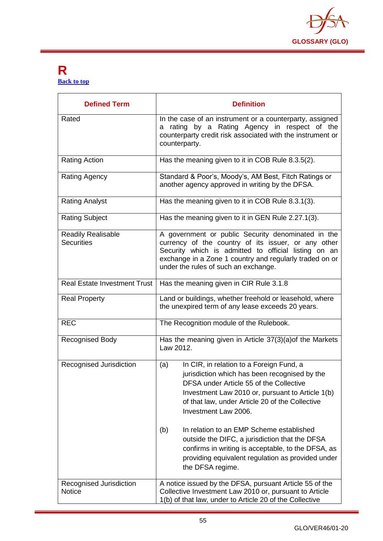

#### **R [Back to top](#page-1-0)**

| <b>Defined Term</b>                            | <b>Definition</b>                                                                                                                                                                                                                                                                                                                                                                                                                                                                                              |
|------------------------------------------------|----------------------------------------------------------------------------------------------------------------------------------------------------------------------------------------------------------------------------------------------------------------------------------------------------------------------------------------------------------------------------------------------------------------------------------------------------------------------------------------------------------------|
| Rated                                          | In the case of an instrument or a counterparty, assigned<br>a rating by a Rating Agency in respect of the<br>counterparty credit risk associated with the instrument or<br>counterparty.                                                                                                                                                                                                                                                                                                                       |
| <b>Rating Action</b>                           | Has the meaning given to it in COB Rule 8.3.5(2).                                                                                                                                                                                                                                                                                                                                                                                                                                                              |
| Rating Agency                                  | Standard & Poor's, Moody's, AM Best, Fitch Ratings or<br>another agency approved in writing by the DFSA.                                                                                                                                                                                                                                                                                                                                                                                                       |
| <b>Rating Analyst</b>                          | Has the meaning given to it in COB Rule 8.3.1(3).                                                                                                                                                                                                                                                                                                                                                                                                                                                              |
| <b>Rating Subject</b>                          | Has the meaning given to it in GEN Rule 2.27.1(3).                                                                                                                                                                                                                                                                                                                                                                                                                                                             |
| <b>Readily Realisable</b><br><b>Securities</b> | A government or public Security denominated in the<br>currency of the country of its issuer, or any other<br>Security which is admitted to official listing on an<br>exchange in a Zone 1 country and regularly traded on or<br>under the rules of such an exchange.                                                                                                                                                                                                                                           |
| <b>Real Estate Investment Trust</b>            | Has the meaning given in CIR Rule 3.1.8                                                                                                                                                                                                                                                                                                                                                                                                                                                                        |
| <b>Real Property</b>                           | Land or buildings, whether freehold or leasehold, where<br>the unexpired term of any lease exceeds 20 years.                                                                                                                                                                                                                                                                                                                                                                                                   |
| <b>REC</b>                                     | The Recognition module of the Rulebook.                                                                                                                                                                                                                                                                                                                                                                                                                                                                        |
| <b>Recognised Body</b>                         | Has the meaning given in Article 37(3)(a) of the Markets<br>Law 2012.                                                                                                                                                                                                                                                                                                                                                                                                                                          |
| Recognised Jurisdiction                        | In CIR, in relation to a Foreign Fund, a<br>(a)<br>jurisdiction which has been recognised by the<br>DFSA under Article 55 of the Collective<br>Investment Law 2010 or, pursuant to Article 1(b)<br>of that law, under Article 20 of the Collective<br>Investment Law 2006.<br>In relation to an EMP Scheme established<br>(b)<br>outside the DIFC, a jurisdiction that the DFSA<br>confirms in writing is acceptable, to the DFSA, as<br>providing equivalent regulation as provided under<br>the DFSA regime. |
| Recognised Jurisdiction<br><b>Notice</b>       | A notice issued by the DFSA, pursuant Article 55 of the<br>Collective Investment Law 2010 or, pursuant to Article<br>1(b) of that law, under to Article 20 of the Collective                                                                                                                                                                                                                                                                                                                                   |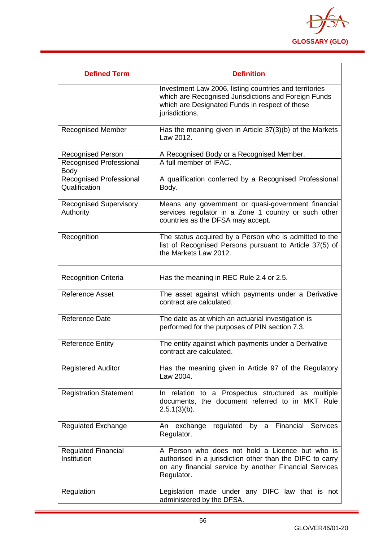

| <b>Defined Term</b>                        | <b>Definition</b>                                                                                                                                                                    |
|--------------------------------------------|--------------------------------------------------------------------------------------------------------------------------------------------------------------------------------------|
|                                            | Investment Law 2006, listing countries and territories<br>which are Recognised Jurisdictions and Foreign Funds<br>which are Designated Funds in respect of these<br>jurisdictions.   |
| <b>Recognised Member</b>                   | Has the meaning given in Article 37(3)(b) of the Markets<br>Law 2012.                                                                                                                |
| <b>Recognised Person</b>                   | A Recognised Body or a Recognised Member.                                                                                                                                            |
| Recognised Professional<br><b>Body</b>     | A full member of IFAC.                                                                                                                                                               |
| Recognised Professional<br>Qualification   | A qualification conferred by a Recognised Professional<br>Body.                                                                                                                      |
| <b>Recognised Supervisory</b><br>Authority | Means any government or quasi-government financial<br>services regulator in a Zone 1 country or such other<br>countries as the DFSA may accept.                                      |
| Recognition                                | The status acquired by a Person who is admitted to the<br>list of Recognised Persons pursuant to Article 37(5) of<br>the Markets Law 2012.                                           |
| <b>Recognition Criteria</b>                | Has the meaning in REC Rule 2.4 or 2.5.                                                                                                                                              |
| <b>Reference Asset</b>                     | The asset against which payments under a Derivative<br>contract are calculated.                                                                                                      |
| <b>Reference Date</b>                      | The date as at which an actuarial investigation is<br>performed for the purposes of PIN section 7.3.                                                                                 |
| <b>Reference Entity</b>                    | The entity against which payments under a Derivative<br>contract are calculated.                                                                                                     |
| <b>Registered Auditor</b>                  | Has the meaning given in Article 97 of the Regulatory<br>Law 2004.                                                                                                                   |
| <b>Registration Statement</b>              | In relation to a Prospectus structured as multiple<br>documents, the document referred to in MKT Rule<br>$2.5.1(3)(b)$ .                                                             |
| <b>Regulated Exchange</b>                  | An exchange regulated by a Financial Services<br>Regulator.                                                                                                                          |
| <b>Regulated Financial</b><br>Institution  | A Person who does not hold a Licence but who is<br>authorised in a jurisdiction other than the DIFC to carry<br>on any financial service by another Financial Services<br>Regulator. |
| Regulation                                 | Legislation made under any DIFC law that is not<br>administered by the DFSA.                                                                                                         |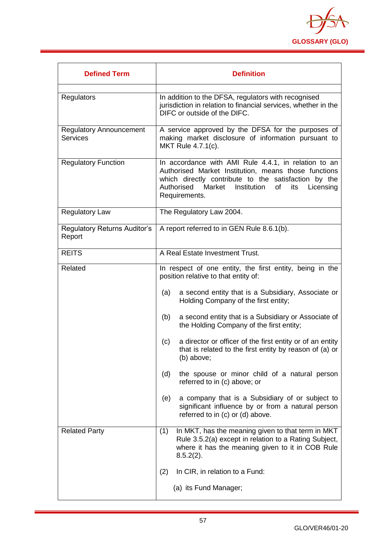

| <b>Defined Term</b>                               | <b>Definition</b>                                                                                                                                                                                                                                      |
|---------------------------------------------------|--------------------------------------------------------------------------------------------------------------------------------------------------------------------------------------------------------------------------------------------------------|
| Regulators                                        | In addition to the DFSA, regulators with recognised<br>jurisdiction in relation to financial services, whether in the<br>DIFC or outside of the DIFC.                                                                                                  |
| <b>Regulatory Announcement</b><br><b>Services</b> | A service approved by the DFSA for the purposes of<br>making market disclosure of information pursuant to<br>MKT Rule 4.7.1(c).                                                                                                                        |
| <b>Regulatory Function</b>                        | In accordance with AMI Rule 4.4.1, in relation to an<br>Authorised Market Institution, means those functions<br>which directly contribute to the satisfaction by the<br>Authorised<br>Market<br>Institution<br>of<br>its<br>Licensing<br>Requirements. |
| <b>Regulatory Law</b>                             | The Regulatory Law 2004.                                                                                                                                                                                                                               |
| <b>Regulatory Returns Auditor's</b><br>Report     | A report referred to in GEN Rule 8.6.1(b).                                                                                                                                                                                                             |
| <b>REITS</b>                                      | A Real Estate Investment Trust.                                                                                                                                                                                                                        |
| Related                                           | In respect of one entity, the first entity, being in the<br>position relative to that entity of:                                                                                                                                                       |
|                                                   | a second entity that is a Subsidiary, Associate or<br>(a)<br>Holding Company of the first entity;                                                                                                                                                      |
|                                                   | a second entity that is a Subsidiary or Associate of<br>(b)<br>the Holding Company of the first entity;                                                                                                                                                |
|                                                   | a director or officer of the first entity or of an entity<br>(c)<br>that is related to the first entity by reason of (a) or<br>(b) above;                                                                                                              |
|                                                   | (d)<br>the spouse or minor child of a natural person<br>referred to in (c) above; or                                                                                                                                                                   |
|                                                   | a company that is a Subsidiary of or subject to<br>(e)<br>significant influence by or from a natural person<br>referred to in (c) or (d) above.                                                                                                        |
| <b>Related Party</b>                              | In MKT, has the meaning given to that term in MKT<br>(1)<br>Rule 3.5.2(a) except in relation to a Rating Subject,<br>where it has the meaning given to it in COB Rule<br>$8.5.2(2)$ .                                                                  |
|                                                   | (2)<br>In CIR, in relation to a Fund:                                                                                                                                                                                                                  |
|                                                   | (a) its Fund Manager;                                                                                                                                                                                                                                  |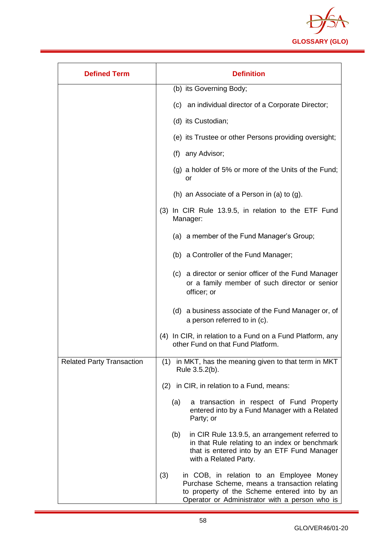

| <b>Defined Term</b>              | <b>Definition</b>                                                                                                                                                                                  |
|----------------------------------|----------------------------------------------------------------------------------------------------------------------------------------------------------------------------------------------------|
|                                  | (b) its Governing Body;                                                                                                                                                                            |
|                                  | (c) an individual director of a Corporate Director;                                                                                                                                                |
|                                  | (d) its Custodian;                                                                                                                                                                                 |
|                                  | (e) its Trustee or other Persons providing oversight;                                                                                                                                              |
|                                  | (f) any Advisor;                                                                                                                                                                                   |
|                                  | (g) a holder of 5% or more of the Units of the Fund;<br>or                                                                                                                                         |
|                                  | (h) an Associate of a Person in (a) to (g).                                                                                                                                                        |
|                                  | In CIR Rule 13.9.5, in relation to the ETF Fund<br>(3)<br>Manager:                                                                                                                                 |
|                                  | (a) a member of the Fund Manager's Group;                                                                                                                                                          |
|                                  | (b) a Controller of the Fund Manager;                                                                                                                                                              |
|                                  | (c) a director or senior officer of the Fund Manager<br>or a family member of such director or senior<br>officer; or                                                                               |
|                                  | (d) a business associate of the Fund Manager or, of<br>a person referred to in (c).                                                                                                                |
|                                  | (4) In CIR, in relation to a Fund on a Fund Platform, any<br>other Fund on that Fund Platform.                                                                                                     |
| <b>Related Party Transaction</b> | (1) in MKT, has the meaning given to that term in MKT<br>Rule 3.5.2(b).                                                                                                                            |
|                                  | (2) in CIR, in relation to a Fund, means:                                                                                                                                                          |
|                                  | (a)<br>a transaction in respect of Fund Property<br>entered into by a Fund Manager with a Related<br>Party; or                                                                                     |
|                                  | in CIR Rule 13.9.5, an arrangement referred to<br>(b)<br>in that Rule relating to an index or benchmark<br>that is entered into by an ETF Fund Manager<br>with a Related Party.                    |
|                                  | (3)<br>in COB, in relation to an Employee Money<br>Purchase Scheme, means a transaction relating<br>to property of the Scheme entered into by an<br>Operator or Administrator with a person who is |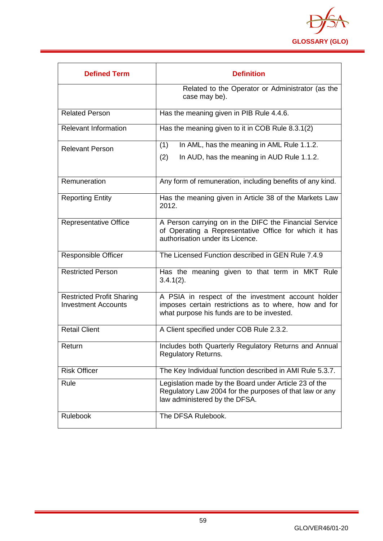

| <b>Defined Term</b>                                            | <b>Definition</b>                                                                                                                                         |
|----------------------------------------------------------------|-----------------------------------------------------------------------------------------------------------------------------------------------------------|
|                                                                | Related to the Operator or Administrator (as the<br>case may be).                                                                                         |
| <b>Related Person</b>                                          | Has the meaning given in PIB Rule 4.4.6.                                                                                                                  |
| <b>Relevant Information</b>                                    | Has the meaning given to it in COB Rule 8.3.1(2)                                                                                                          |
| <b>Relevant Person</b>                                         | In AML, has the meaning in AML Rule 1.1.2.<br>(1)                                                                                                         |
|                                                                | (2)<br>In AUD, has the meaning in AUD Rule 1.1.2.                                                                                                         |
| Remuneration                                                   | Any form of remuneration, including benefits of any kind.                                                                                                 |
| <b>Reporting Entity</b>                                        | Has the meaning given in Article 38 of the Markets Law<br>2012.                                                                                           |
| <b>Representative Office</b>                                   | A Person carrying on in the DIFC the Financial Service<br>of Operating a Representative Office for which it has<br>authorisation under its Licence.       |
| <b>Responsible Officer</b>                                     | The Licensed Function described in GEN Rule 7.4.9                                                                                                         |
| <b>Restricted Person</b>                                       | Has the meaning given to that term in MKT Rule<br>$3.4.1(2)$ .                                                                                            |
| <b>Restricted Profit Sharing</b><br><b>Investment Accounts</b> | A PSIA in respect of the investment account holder<br>imposes certain restrictions as to where, how and for<br>what purpose his funds are to be invested. |
| <b>Retail Client</b>                                           | A Client specified under COB Rule 2.3.2.                                                                                                                  |
| Return                                                         | Includes both Quarterly Regulatory Returns and Annual<br><b>Regulatory Returns.</b>                                                                       |
| <b>Risk Officer</b>                                            | The Key Individual function described in AMI Rule 5.3.7.                                                                                                  |
| Rule                                                           | Legislation made by the Board under Article 23 of the<br>Regulatory Law 2004 for the purposes of that law or any<br>law administered by the DFSA.         |
| Rulebook                                                       | The DFSA Rulebook.                                                                                                                                        |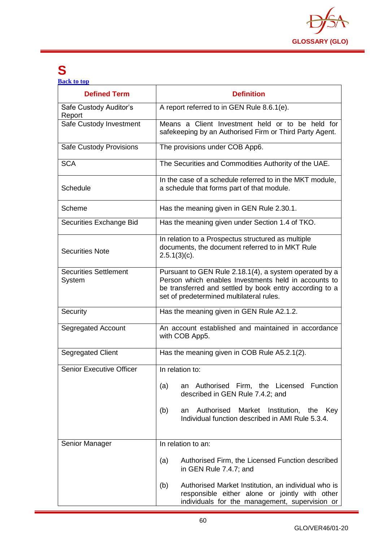

### **S**

**[Back to top](#page-1-0)**

| <b>Defined Term</b>                    | <b>Definition</b>                                                                                                                                                                                                     |
|----------------------------------------|-----------------------------------------------------------------------------------------------------------------------------------------------------------------------------------------------------------------------|
| Safe Custody Auditor's<br>Report       | A report referred to in GEN Rule 8.6.1(e).                                                                                                                                                                            |
| Safe Custody Investment                | Means a Client Investment held or to be held for<br>safekeeping by an Authorised Firm or Third Party Agent.                                                                                                           |
| Safe Custody Provisions                | The provisions under COB App6.                                                                                                                                                                                        |
| <b>SCA</b>                             | The Securities and Commodities Authority of the UAE.                                                                                                                                                                  |
| Schedule                               | In the case of a schedule referred to in the MKT module,<br>a schedule that forms part of that module.                                                                                                                |
| Scheme                                 | Has the meaning given in GEN Rule 2.30.1.                                                                                                                                                                             |
| Securities Exchange Bid                | Has the meaning given under Section 1.4 of TKO.                                                                                                                                                                       |
| <b>Securities Note</b>                 | In relation to a Prospectus structured as multiple<br>documents, the document referred to in MKT Rule<br>$2.5.1(3)(c)$ .                                                                                              |
| <b>Securities Settlement</b><br>System | Pursuant to GEN Rule 2.18.1(4), a system operated by a<br>Person which enables Investments held in accounts to<br>be transferred and settled by book entry according to a<br>set of predetermined multilateral rules. |
| Security                               | Has the meaning given in GEN Rule A2.1.2.                                                                                                                                                                             |
| Segregated Account                     | An account established and maintained in accordance<br>with COB App5.                                                                                                                                                 |
| Segregated Client                      | Has the meaning given in COB Rule A5.2.1(2).                                                                                                                                                                          |
| <b>Senior Executive Officer</b>        | In relation to:                                                                                                                                                                                                       |
|                                        | Authorised Firm, the Licensed Function<br>(a)<br>an<br>described in GEN Rule 7.4.2; and                                                                                                                               |
|                                        | Authorised<br>Market Institution, the<br>(b)<br>Key<br>an<br>Individual function described in AMI Rule 5.3.4.                                                                                                         |
| Senior Manager                         | In relation to an:                                                                                                                                                                                                    |
|                                        | Authorised Firm, the Licensed Function described<br>(a)<br>in GEN Rule 7.4.7; and                                                                                                                                     |
|                                        | Authorised Market Institution, an individual who is<br>(b)<br>responsible either alone or jointly with other<br>individuals for the management, supervision or                                                        |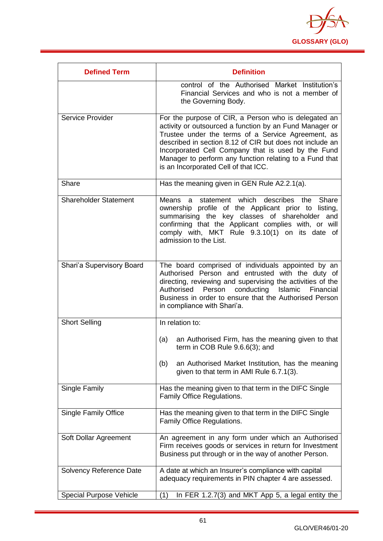

| <b>Defined Term</b>            | <b>Definition</b>                                                                                                                                                                                                                                                                                                                                                                          |
|--------------------------------|--------------------------------------------------------------------------------------------------------------------------------------------------------------------------------------------------------------------------------------------------------------------------------------------------------------------------------------------------------------------------------------------|
|                                | control of the Authorised Market Institution's<br>Financial Services and who is not a member of<br>the Governing Body.                                                                                                                                                                                                                                                                     |
| Service Provider               | For the purpose of CIR, a Person who is delegated an<br>activity or outsourced a function by an Fund Manager or<br>Trustee under the terms of a Service Agreement, as<br>described in section 8.12 of CIR but does not include an<br>Incorporated Cell Company that is used by the Fund<br>Manager to perform any function relating to a Fund that<br>is an Incorporated Cell of that ICC. |
| Share                          | Has the meaning given in GEN Rule A2.2.1(a).                                                                                                                                                                                                                                                                                                                                               |
| <b>Shareholder Statement</b>   | Means a statement which describes the Share<br>ownership profile of the Applicant prior to listing,<br>summarising the key classes of shareholder and<br>confirming that the Applicant complies with, or will<br>comply with, MKT Rule 9.3.10(1) on its date of<br>admission to the List.                                                                                                  |
| Shari'a Supervisory Board      | The board comprised of individuals appointed by an<br>Authorised Person and entrusted with the duty of<br>directing, reviewing and supervising the activities of the<br>Authorised Person conducting Islamic Financial<br>Business in order to ensure that the Authorised Person<br>in compliance with Shari'a.                                                                            |
| <b>Short Selling</b>           | In relation to:                                                                                                                                                                                                                                                                                                                                                                            |
|                                | (a)<br>an Authorised Firm, has the meaning given to that<br>term in COB Rule $9.6.6(3)$ ; and                                                                                                                                                                                                                                                                                              |
|                                | an Authorised Market Institution, has the meaning<br>(b)<br>given to that term in AMI Rule 6.7.1(3).                                                                                                                                                                                                                                                                                       |
| Single Family                  | Has the meaning given to that term in the DIFC Single<br>Family Office Regulations.                                                                                                                                                                                                                                                                                                        |
| <b>Single Family Office</b>    | Has the meaning given to that term in the DIFC Single<br>Family Office Regulations.                                                                                                                                                                                                                                                                                                        |
| Soft Dollar Agreement          | An agreement in any form under which an Authorised<br>Firm receives goods or services in return for Investment<br>Business put through or in the way of another Person.                                                                                                                                                                                                                    |
| Solvency Reference Date        | A date at which an Insurer's compliance with capital<br>adequacy requirements in PIN chapter 4 are assessed.                                                                                                                                                                                                                                                                               |
| <b>Special Purpose Vehicle</b> | (1)<br>In FER 1.2.7(3) and MKT App 5, a legal entity the                                                                                                                                                                                                                                                                                                                                   |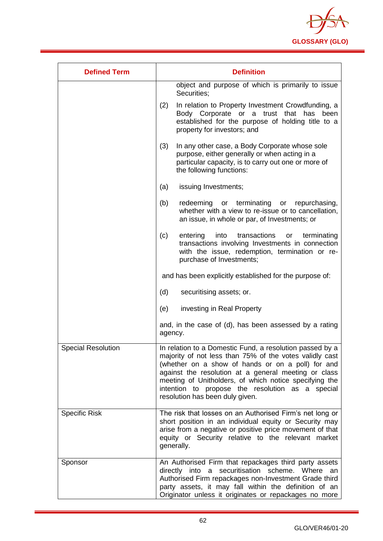

| <b>Defined Term</b>       | <b>Definition</b>                                                                                                                                                                                                                                                                                                                                                                 |
|---------------------------|-----------------------------------------------------------------------------------------------------------------------------------------------------------------------------------------------------------------------------------------------------------------------------------------------------------------------------------------------------------------------------------|
|                           | object and purpose of which is primarily to issue<br>Securities;                                                                                                                                                                                                                                                                                                                  |
|                           | In relation to Property Investment Crowdfunding, a<br>(2)<br>Body Corporate or a trust that has<br>been<br>established for the purpose of holding title to a<br>property for investors; and                                                                                                                                                                                       |
|                           | In any other case, a Body Corporate whose sole<br>(3)<br>purpose, either generally or when acting in a<br>particular capacity, is to carry out one or more of<br>the following functions:                                                                                                                                                                                         |
|                           | issuing Investments;<br>(a)                                                                                                                                                                                                                                                                                                                                                       |
|                           | (b)<br>redeeming<br>or terminating<br>repurchasing,<br>or<br>whether with a view to re-issue or to cancellation,<br>an issue, in whole or par, of Investments; or                                                                                                                                                                                                                 |
|                           | (c)<br>into transactions<br>entering<br>terminating<br>or<br>transactions involving Investments in connection<br>with the issue, redemption, termination or re-<br>purchase of Investments;                                                                                                                                                                                       |
|                           | and has been explicitly established for the purpose of:                                                                                                                                                                                                                                                                                                                           |
|                           | (d)<br>securitising assets; or.                                                                                                                                                                                                                                                                                                                                                   |
|                           | (e)<br>investing in Real Property                                                                                                                                                                                                                                                                                                                                                 |
|                           | and, in the case of (d), has been assessed by a rating<br>agency.                                                                                                                                                                                                                                                                                                                 |
| <b>Special Resolution</b> | In relation to a Domestic Fund, a resolution passed by a<br>majority of not less than 75% of the votes validly cast<br>(whether on a show of hands or on a poll) for and<br>against the resolution at a general meeting or class<br>meeting of Unitholders, of which notice specifying the<br>intention to propose the resolution as a special<br>resolution has been duly given. |
| <b>Specific Risk</b>      | The risk that losses on an Authorised Firm's net long or<br>short position in an individual equity or Security may<br>arise from a negative or positive price movement of that<br>equity or Security relative to the relevant market<br>generally.                                                                                                                                |
| Sponsor                   | An Authorised Firm that repackages third party assets<br>directly into a securitisation scheme. Where an<br>Authorised Firm repackages non-Investment Grade third<br>party assets, it may fall within the definition of an<br>Originator unless it originates or repackages no more                                                                                               |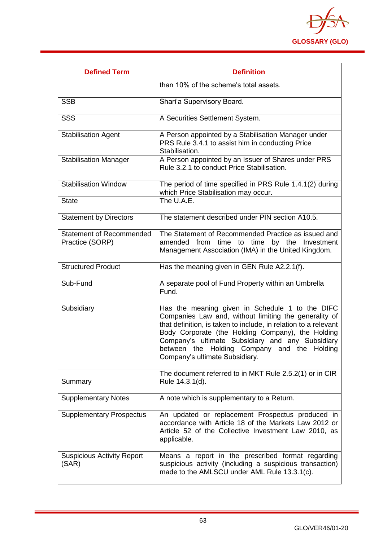

| <b>Defined Term</b>                                | <b>Definition</b>                                                                                                                                                                                                                                                                                                                                                     |
|----------------------------------------------------|-----------------------------------------------------------------------------------------------------------------------------------------------------------------------------------------------------------------------------------------------------------------------------------------------------------------------------------------------------------------------|
|                                                    | than 10% of the scheme's total assets.                                                                                                                                                                                                                                                                                                                                |
| <b>SSB</b>                                         | Shari'a Supervisory Board.                                                                                                                                                                                                                                                                                                                                            |
| <b>SSS</b>                                         | A Securities Settlement System.                                                                                                                                                                                                                                                                                                                                       |
| <b>Stabilisation Agent</b>                         | A Person appointed by a Stabilisation Manager under<br>PRS Rule 3.4.1 to assist him in conducting Price<br>Stabilisation.                                                                                                                                                                                                                                             |
| <b>Stabilisation Manager</b>                       | A Person appointed by an Issuer of Shares under PRS<br>Rule 3.2.1 to conduct Price Stabilisation.                                                                                                                                                                                                                                                                     |
| <b>Stabilisation Window</b>                        | The period of time specified in PRS Rule 1.4.1(2) during<br>which Price Stabilisation may occur.                                                                                                                                                                                                                                                                      |
| <b>State</b>                                       | The U.A.E.                                                                                                                                                                                                                                                                                                                                                            |
| <b>Statement by Directors</b>                      | The statement described under PIN section A10.5.                                                                                                                                                                                                                                                                                                                      |
| <b>Statement of Recommended</b><br>Practice (SORP) | The Statement of Recommended Practice as issued and<br>amended from<br>time<br>by the<br>Investment<br>time to<br>Management Association (IMA) in the United Kingdom.                                                                                                                                                                                                 |
| <b>Structured Product</b>                          | Has the meaning given in GEN Rule A2.2.1(f).                                                                                                                                                                                                                                                                                                                          |
| Sub-Fund                                           | A separate pool of Fund Property within an Umbrella<br>Fund.                                                                                                                                                                                                                                                                                                          |
| Subsidiary                                         | Has the meaning given in Schedule 1 to the DIFC<br>Companies Law and, without limiting the generality of<br>that definition, is taken to include, in relation to a relevant<br>Body Corporate (the Holding Company), the Holding<br>Company's ultimate Subsidiary and any Subsidiary<br>between the Holding Company and the Holding<br>Company's ultimate Subsidiary. |
| Summary                                            | The document referred to in MKT Rule 2.5.2(1) or in CIR<br>Rule 14.3.1(d).                                                                                                                                                                                                                                                                                            |
| <b>Supplementary Notes</b>                         | A note which is supplementary to a Return.                                                                                                                                                                                                                                                                                                                            |
| <b>Supplementary Prospectus</b>                    | An updated or replacement Prospectus produced in<br>accordance with Article 18 of the Markets Law 2012 or<br>Article 52 of the Collective Investment Law 2010, as<br>applicable.                                                                                                                                                                                      |
| <b>Suspicious Activity Report</b><br>(SAR)         | Means a report in the prescribed format regarding<br>suspicious activity (including a suspicious transaction)<br>made to the AMLSCU under AML Rule 13.3.1(c).                                                                                                                                                                                                         |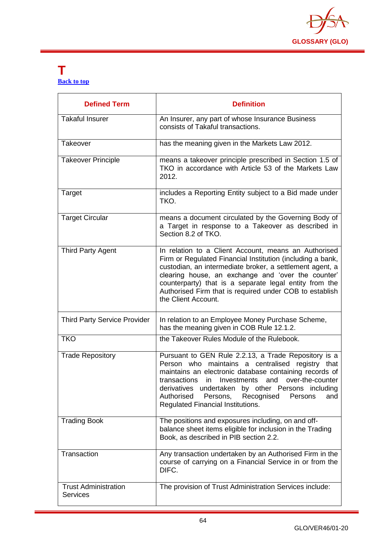

#### **T [Back to top](#page-1-0)**

| <b>Defined Term</b>                            | <b>Definition</b>                                                                                                                                                                                                                                                                                                                                                                |
|------------------------------------------------|----------------------------------------------------------------------------------------------------------------------------------------------------------------------------------------------------------------------------------------------------------------------------------------------------------------------------------------------------------------------------------|
| <b>Takaful Insurer</b>                         | An Insurer, any part of whose Insurance Business<br>consists of Takaful transactions.                                                                                                                                                                                                                                                                                            |
| Takeover                                       | has the meaning given in the Markets Law 2012.                                                                                                                                                                                                                                                                                                                                   |
| <b>Takeover Principle</b>                      | means a takeover principle prescribed in Section 1.5 of<br>TKO in accordance with Article 53 of the Markets Law<br>2012.                                                                                                                                                                                                                                                         |
| Target                                         | includes a Reporting Entity subject to a Bid made under<br>TKO.                                                                                                                                                                                                                                                                                                                  |
| <b>Target Circular</b>                         | means a document circulated by the Governing Body of<br>a Target in response to a Takeover as described in<br>Section 8.2 of TKO.                                                                                                                                                                                                                                                |
| <b>Third Party Agent</b>                       | In relation to a Client Account, means an Authorised<br>Firm or Regulated Financial Institution (including a bank,<br>custodian, an intermediate broker, a settlement agent, a<br>clearing house, an exchange and 'over the counter'<br>counterparty) that is a separate legal entity from the<br>Authorised Firm that is required under COB to establish<br>the Client Account. |
| <b>Third Party Service Provider</b>            | In relation to an Employee Money Purchase Scheme,<br>has the meaning given in COB Rule 12.1.2.                                                                                                                                                                                                                                                                                   |
| <b>TKO</b>                                     | the Takeover Rules Module of the Rulebook.                                                                                                                                                                                                                                                                                                                                       |
| <b>Trade Repository</b>                        | Pursuant to GEN Rule 2.2.13, a Trade Repository is a<br>Person who maintains a centralised registry that<br>maintains an electronic database containing records of<br>transactions<br>in Investments and over-the-counter<br>derivatives undertaken by other Persons including<br>Authorised<br>Persons,<br>Recognised<br>Persons<br>and<br>Regulated Financial Institutions.    |
| <b>Trading Book</b>                            | The positions and exposures including, on and off-<br>balance sheet items eligible for inclusion in the Trading<br>Book, as described in PIB section 2.2.                                                                                                                                                                                                                        |
| Transaction                                    | Any transaction undertaken by an Authorised Firm in the<br>course of carrying on a Financial Service in or from the<br>DIFC.                                                                                                                                                                                                                                                     |
| <b>Trust Administration</b><br><b>Services</b> | The provision of Trust Administration Services include:                                                                                                                                                                                                                                                                                                                          |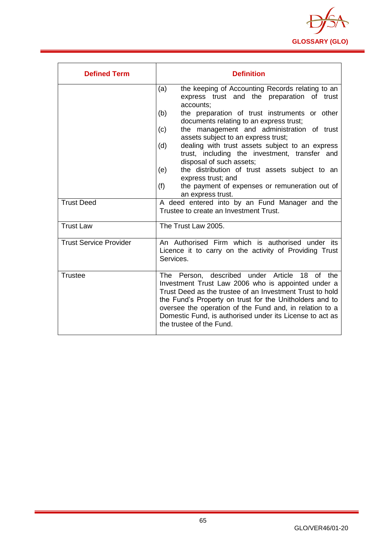

| <b>Defined Term</b>           | <b>Definition</b>                                                                                                                                                                                                                                                                                                                                                                                                                                                                                                                                                                                |
|-------------------------------|--------------------------------------------------------------------------------------------------------------------------------------------------------------------------------------------------------------------------------------------------------------------------------------------------------------------------------------------------------------------------------------------------------------------------------------------------------------------------------------------------------------------------------------------------------------------------------------------------|
|                               | the keeping of Accounting Records relating to an<br>(a)<br>express trust and the preparation of trust<br>accounts;<br>(b)<br>the preparation of trust instruments or other<br>documents relating to an express trust;<br>the management and administration of trust<br>(c)<br>assets subject to an express trust;<br>dealing with trust assets subject to an express<br>(d)<br>trust, including the investment, transfer and<br>disposal of such assets;<br>the distribution of trust assets subject to an<br>(e)<br>express trust; and<br>(f)<br>the payment of expenses or remuneration out of |
|                               | an express trust.                                                                                                                                                                                                                                                                                                                                                                                                                                                                                                                                                                                |
| <b>Trust Deed</b>             | A deed entered into by an Fund Manager and the<br>Trustee to create an Investment Trust.                                                                                                                                                                                                                                                                                                                                                                                                                                                                                                         |
| <b>Trust Law</b>              | The Trust Law 2005.                                                                                                                                                                                                                                                                                                                                                                                                                                                                                                                                                                              |
| <b>Trust Service Provider</b> | An Authorised Firm which is authorised under its<br>Licence it to carry on the activity of Providing Trust<br>Services.                                                                                                                                                                                                                                                                                                                                                                                                                                                                          |
| <b>Trustee</b>                | The Person, described under Article 18 of the<br>Investment Trust Law 2006 who is appointed under a<br>Trust Deed as the trustee of an Investment Trust to hold<br>the Fund's Property on trust for the Unitholders and to<br>oversee the operation of the Fund and, in relation to a<br>Domestic Fund, is authorised under its License to act as<br>the trustee of the Fund.                                                                                                                                                                                                                    |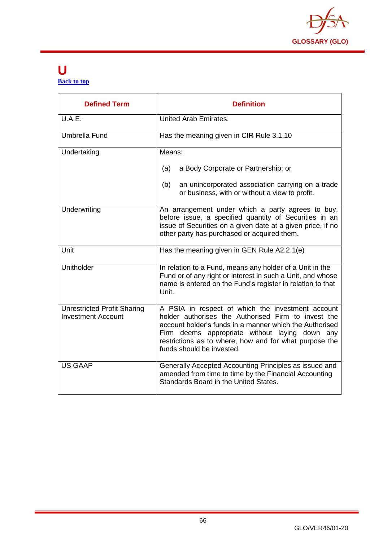

#### **U [Back to top](#page-1-0)**

| <b>Defined Term</b>                                             | <b>Definition</b>                                                                                                                                                                                                                                                                                            |
|-----------------------------------------------------------------|--------------------------------------------------------------------------------------------------------------------------------------------------------------------------------------------------------------------------------------------------------------------------------------------------------------|
| U.A.E.                                                          | United Arab Emirates.                                                                                                                                                                                                                                                                                        |
| Umbrella Fund                                                   | Has the meaning given in CIR Rule 3.1.10                                                                                                                                                                                                                                                                     |
| Undertaking                                                     | Means:                                                                                                                                                                                                                                                                                                       |
|                                                                 | (a)<br>a Body Corporate or Partnership; or                                                                                                                                                                                                                                                                   |
|                                                                 | an unincorporated association carrying on a trade<br>(b)<br>or business, with or without a view to profit.                                                                                                                                                                                                   |
| Underwriting                                                    | An arrangement under which a party agrees to buy,<br>before issue, a specified quantity of Securities in an<br>issue of Securities on a given date at a given price, if no<br>other party has purchased or acquired them.                                                                                    |
| Unit                                                            | Has the meaning given in GEN Rule A2.2.1(e)                                                                                                                                                                                                                                                                  |
| Unitholder                                                      | In relation to a Fund, means any holder of a Unit in the<br>Fund or of any right or interest in such a Unit, and whose<br>name is entered on the Fund's register in relation to that<br>Unit.                                                                                                                |
| <b>Unrestricted Profit Sharing</b><br><b>Investment Account</b> | A PSIA in respect of which the investment account<br>holder authorises the Authorised Firm to invest the<br>account holder's funds in a manner which the Authorised<br>Firm deems appropriate without laying down any<br>restrictions as to where, how and for what purpose the<br>funds should be invested. |
| <b>US GAAP</b>                                                  | Generally Accepted Accounting Principles as issued and<br>amended from time to time by the Financial Accounting<br>Standards Board in the United States.                                                                                                                                                     |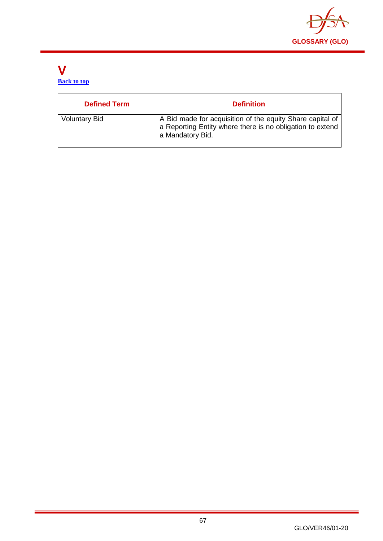

#### **V [Back to top](#page-1-0)**

| <b>Defined Term</b>  | <b>Definition</b>                                                                                                                          |
|----------------------|--------------------------------------------------------------------------------------------------------------------------------------------|
| <b>Voluntary Bid</b> | A Bid made for acquisition of the equity Share capital of<br>a Reporting Entity where there is no obligation to extend<br>a Mandatory Bid. |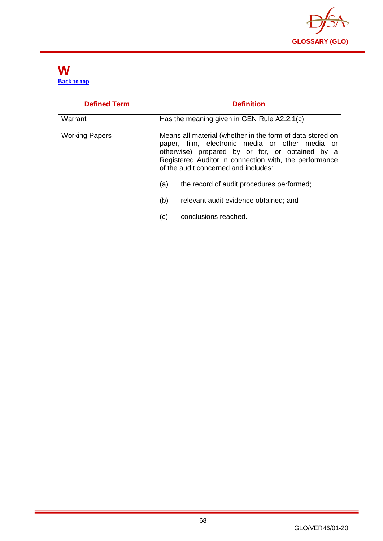

#### **W [Back to top](#page-1-0)**

| <b>Defined Term</b>   | <b>Definition</b>                                                                                                                                                                                                                                                                                                                                                                                    |
|-----------------------|------------------------------------------------------------------------------------------------------------------------------------------------------------------------------------------------------------------------------------------------------------------------------------------------------------------------------------------------------------------------------------------------------|
| Warrant               | Has the meaning given in GEN Rule A2.2.1(c).                                                                                                                                                                                                                                                                                                                                                         |
| <b>Working Papers</b> | Means all material (whether in the form of data stored on<br>paper, film, electronic media or other media or<br>otherwise) prepared by or for, or obtained by a<br>Registered Auditor in connection with, the performance<br>of the audit concerned and includes:<br>(a)<br>the record of audit procedures performed;<br>(b)<br>relevant audit evidence obtained; and<br>conclusions reached.<br>(c) |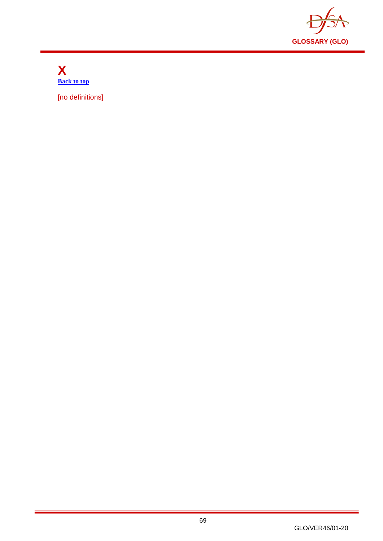

**X [Back to top](#page-1-0)**

[no definitions]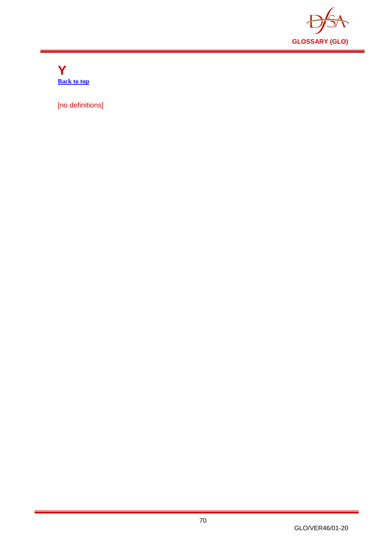

**Y [Back to top](#page-1-0)**

[no definitions]